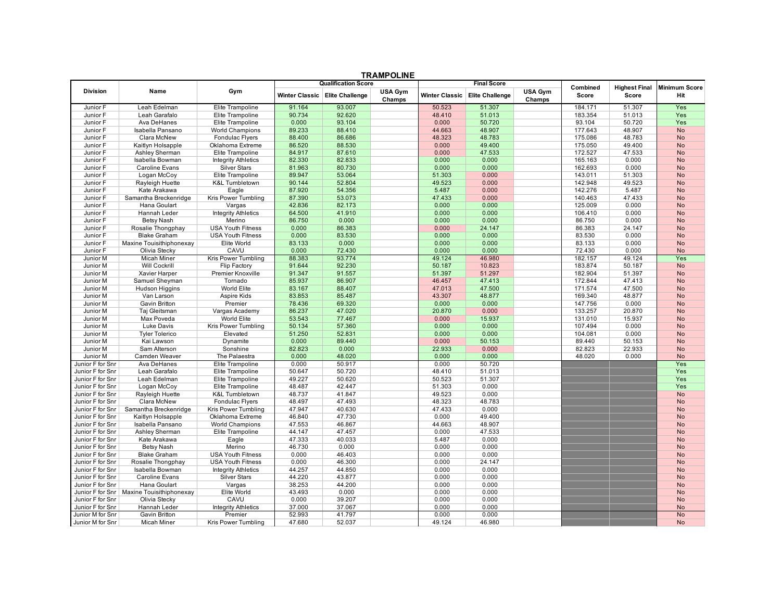| <b>Qualification Score</b><br>Combined<br><b>Highest Final</b><br>Minimum Score<br><b>Division</b><br>Name<br>Gym<br>USA Gym<br>USA Gym<br><b>Winter Classic</b><br><b>Elite Challenge</b><br><b>Winter Classic</b><br><b>Elite Challenge</b><br>Score<br>Hit<br>Score<br>Champs<br>Champs<br>51.307<br>51.307<br>Leah Edelman<br>Elite Trampoline<br>91.164<br>93.007<br>50.523<br>184.171<br>Yes<br>Junior F<br>90.734<br>48.410<br>51.013<br>183.354<br>51.013<br>Junior F<br>Leah Garafalo<br>Elite Trampoline<br>92.620<br>Yes<br>Ava DeHanes<br>Elite Trampoline<br>0.000<br>93.104<br>0.000<br>50.720<br>93.104<br>50.720<br>Junior F<br>Yes<br>World Champions<br>89.233<br>44.663<br>48.907<br>48.907<br>Junior F<br>Isabella Pansano<br>88.410<br>177.643<br><b>No</b><br>Clara McNew<br>88.400<br>48.323<br>48.783<br>175.086<br>48.783<br>Junior F<br>Fondulac Flyers<br>86.686<br>No<br>Junior F<br>Kaitlyn Holsapple<br>Oklahoma Extreme<br>86.520<br>88.530<br>0.000<br>49.400<br>175.050<br>49.400<br><b>No</b><br>Elite Trampoline<br>84.917<br>0.000<br>47.533<br>172.527<br>47.533<br>Junior F<br>Ashley Sherman<br>87.610<br><b>No</b><br>Isabella Bowman<br><b>Integrity Athletics</b><br>82.330<br>82.833<br>0.000<br>0.000<br>165.163<br>0.000<br>Junior F<br><b>No</b><br><b>Caroline Evans</b><br>81.963<br>0.000<br>162.693<br>0.000<br>Junior F<br><b>Silver Stars</b><br>80.730<br>0.000<br><b>No</b><br>Logan McCoy<br>Elite Trampoline<br>89.947<br>53.064<br>51.303<br>0.000<br>143.011<br>51.303<br>Junior F<br><b>No</b><br>90.144<br>49.523<br>Junior F<br>Rayleigh Huette<br><b>K&amp;L Tumbletown</b><br>52.804<br>49.523<br>0.000<br>142.948<br><b>No</b><br>Kate Arakawa<br>87.920<br>54.356<br>5.487<br>0.000<br>142.276<br>5.487<br>Junior F<br>Eagle<br><b>No</b><br>Junior F<br>Samantha Breckenridge<br>Kris Power Tumbling<br>87.390<br>53.073<br>47.433<br>0.000<br>140.463<br>47.433<br><b>No</b><br>Hana Goulart<br>42.836<br>82.173<br>0.000<br>0.000<br>125.009<br>0.000<br>Junior F<br>Vargas<br><b>No</b><br>Junior F<br>Hannah Leder<br><b>Integrity Athletics</b><br>64.500<br>41.910<br>0.000<br>0.000<br>106.410<br>0.000<br><b>No</b><br>Merino<br>86.750<br>0.000<br>0.000<br>0.000<br>Junior F<br><b>Betsy Nash</b><br>0.000<br>86.750<br><b>No</b><br>Junior F<br>Rosalie Thongphay<br><b>USA Youth Fitness</b><br>0.000<br>86.383<br>0.000<br>24.147<br>86.383<br>24.147<br><b>No</b><br>0.000<br>0.000<br>Junior F<br><b>Blake Graham</b><br><b>USA Youth Fitness</b><br>0.000<br>83.530<br>0.000<br>83.530<br><b>No</b><br>0.000<br>Junior F<br>Maxine Touisithiphonexay<br>Elite World<br>83.133<br>0.000<br>0.000<br>0.000<br>83.133<br><b>No</b><br>CAVU<br>0.000<br>Junior F<br>Olivia Stecky<br>0.000<br>72.430<br>0.000<br>0.000<br>72.430<br><b>No</b><br>88.383<br>93.774<br>49.124<br>46.980<br>49.124<br>Yes<br><b>Micah Miner</b><br>182.157<br>Junior M<br>Kris Power Tumbling<br>91.644<br>50.187<br>10.823<br>50.187<br>Junior M<br><b>Will Cockrill</b><br>Flip Factory<br>92.230<br>183.874<br><b>No</b><br>51.297<br>Xavier Harper<br>Premier Knoxville<br>91.347<br>91.557<br>51.397<br>182.904<br>51.397<br>Junior M<br><b>No</b><br>85.937<br>47.413<br>47.413<br>Junior M<br>Samuel Sheyman<br>Tornado<br>86.907<br>46.457<br>172.844<br><b>No</b><br>World Elite<br>83.167<br>47.500<br>47.500<br>Junior M<br>Hudson Higgins<br>88.407<br>47.013<br>171.574<br><b>No</b><br>Aspire Kids<br>83.853<br>85.487<br>43.307<br>48.877<br>169.340<br>48.877<br>Junior M<br>Van Larson<br><b>No</b><br>0.000<br><b>Gavin Britton</b><br>Premier<br>78.436<br>69.320<br>0.000<br>Junior M<br>0.000<br>147.756<br><b>No</b><br>Vargas Academy<br>86.237<br>47.020<br>20.870<br>0.000<br>133.257<br>20.870<br>Junior M<br>Taj Gleitsman<br><b>No</b><br>15.937<br>15.937<br>Junior M<br>Max Poveda<br>World Elite<br>53.543<br>77.467<br>0.000<br>131.010<br><b>No</b><br>0.000<br>0.000<br>Luke Davis<br>Kris Power Tumbling<br>50.134<br>57.360<br>0.000<br>107.494<br>Junior M<br><b>No</b><br>51.250<br>0.000<br>0.000<br>Junior M<br><b>Tyler Tolerico</b><br>Elevated<br>52.831<br>0.000<br>104.081<br><b>No</b><br>Junior M<br>Kai Lawson<br>Dynamite<br>0.000<br>89.440<br>0.000<br>50.153<br>89.440<br>50.153<br><b>No</b><br>22.933<br>0.000<br>22.933<br>Junior M<br>Sam Alterson<br>Sonshine<br>82.823<br>0.000<br>82.823<br><b>No</b><br>Camden Weaver<br>The Palaestra<br>0.000<br>48.020<br>0.000<br>0.000<br>48.020<br>0.000<br><b>No</b><br>Junior M<br>0.000<br>50.917<br>0.000<br>50.720<br>Yes<br>Junior F for Snr<br>Ava DeHanes<br>Elite Trampoline<br>Junior F for Snr<br>Leah Garafalo<br>50.647<br>50.720<br>48.410<br>51.013<br>Elite Trampoline<br>Yes<br>51.307<br>Leah Edelman<br>Elite Trampoline<br>49.227<br>50.620<br>50.523<br>Yes<br>Junior F for Snr<br>48.487<br>42.447<br>51.303<br>0.000<br>Junior F for Snr<br>Logan McCoy<br>Elite Trampoline<br>Yes<br>41.847<br>49.523<br>0.000<br>Junior F for Snr<br>Rayleigh Huette<br><b>K&amp;L Tumbletown</b><br>48.737<br><b>No</b><br>Clara McNew<br>48.497<br>48.323<br>48.783<br>Junior F for Snr<br><b>Fondulac Flyers</b><br>47.493<br><b>No</b><br>0.000<br>47.947<br>40.630<br>47.433<br>Junior F for Snr<br>Samantha Breckenridge<br>Kris Power Tumbling<br><b>No</b><br>Oklahoma Extreme<br>46.840<br>47.730<br>0.000<br>49.400<br>Junior F for Snr<br>Kaitlyn Holsapple<br><b>No</b><br>47.553<br>48.907<br>46.867<br>44.663<br>Junior F for Snr<br>Isabella Pansano<br><b>World Champions</b><br><b>No</b><br>44.147<br>0.000<br>47.533<br>Junior F for Snr<br>Ashley Sherman<br>Elite Trampoline<br>47.457<br><b>No</b><br>47.333<br>40.033<br>5.487<br>0.000<br>Junior F for Snr<br>Kate Arakawa<br>Eagle<br><b>No</b><br>46.730<br>0.000<br>0.000<br>Junior F for Snr<br><b>Betsy Nash</b><br>Merino<br>0.000<br><b>No</b><br>0.000<br>0.000<br><b>USA Youth Fitness</b><br>0.000<br>46.403<br>Junior F for Snr<br><b>Blake Graham</b><br><b>No</b><br>Junior F for Snr<br><b>USA Youth Fitness</b><br>0.000<br>46.300<br>0.000<br>24.147<br><b>No</b><br>Rosalie Thongphay<br>44.257<br>44.850<br>0.000<br>0.000<br>Junior F for Snr<br>Isabella Bowman<br><b>Integrity Athletics</b><br><b>No</b><br>44.220<br>0.000<br>Junior F for Snr<br><b>Caroline Evans</b><br>43.877<br>0.000<br><b>Silver Stars</b><br><b>No</b><br>38.253<br>44.200<br>0.000<br>0.000<br>Junior F for Snr<br>Hana Goulart<br>Vargas<br><b>No</b><br>Elite World<br>43.493<br>0.000<br>Junior F for Snr   Maxine Touisithiphonexay<br>0.000<br>0.000<br><b>No</b><br>CAVU<br>0.000<br>39.207<br>0.000<br>0.000<br>Junior F for Snr<br>Olivia Stecky<br><b>No</b><br>37.000<br>0.000<br>Junior F for Snr<br>Hannah Leder<br>37.067<br>0.000<br><b>Integrity Athletics</b><br><b>No</b><br>52.993<br>41.797<br>0.000<br>0.000<br>Junior M for Snr<br>Gavin Britton<br><b>No</b><br>Premier<br>Junior M for Snr<br>47.680<br>52.037<br>49.124<br>46.980<br><b>Micah Miner</b><br>Kris Power Tumbling<br><b>No</b> | TRAMPOLINE |  |  |  |  |  |  |                    |  |  |  |  |  |
|-------------------------------------------------------------------------------------------------------------------------------------------------------------------------------------------------------------------------------------------------------------------------------------------------------------------------------------------------------------------------------------------------------------------------------------------------------------------------------------------------------------------------------------------------------------------------------------------------------------------------------------------------------------------------------------------------------------------------------------------------------------------------------------------------------------------------------------------------------------------------------------------------------------------------------------------------------------------------------------------------------------------------------------------------------------------------------------------------------------------------------------------------------------------------------------------------------------------------------------------------------------------------------------------------------------------------------------------------------------------------------------------------------------------------------------------------------------------------------------------------------------------------------------------------------------------------------------------------------------------------------------------------------------------------------------------------------------------------------------------------------------------------------------------------------------------------------------------------------------------------------------------------------------------------------------------------------------------------------------------------------------------------------------------------------------------------------------------------------------------------------------------------------------------------------------------------------------------------------------------------------------------------------------------------------------------------------------------------------------------------------------------------------------------------------------------------------------------------------------------------------------------------------------------------------------------------------------------------------------------------------------------------------------------------------------------------------------------------------------------------------------------------------------------------------------------------------------------------------------------------------------------------------------------------------------------------------------------------------------------------------------------------------------------------------------------------------------------------------------------------------------------------------------------------------------------------------------------------------------------------------------------------------------------------------------------------------------------------------------------------------------------------------------------------------------------------------------------------------------------------------------------------------------------------------------------------------------------------------------------------------------------------------------------------------------------------------------------------------------------------------------------------------------------------------------------------------------------------------------------------------------------------------------------------------------------------------------------------------------------------------------------------------------------------------------------------------------------------------------------------------------------------------------------------------------------------------------------------------------------------------------------------------------------------------------------------------------------------------------------------------------------------------------------------------------------------------------------------------------------------------------------------------------------------------------------------------------------------------------------------------------------------------------------------------------------------------------------------------------------------------------------------------------------------------------------------------------------------------------------------------------------------------------------------------------------------------------------------------------------------------------------------------------------------------------------------------------------------------------------------------------------------------------------------------------------------------------------------------------------------------------------------------------------------------------------------------------------------------------------------------------------------------------------------------------------------------------------------------------------------------------------------------------------------------------------------------------------------------------------------------------------------------------------------------------------------------------------------------------------------------------------------------------------------------------------------------------------------------------------------------------------------------------------------------------------------------------------------------------------------------------------------------------------------------------------------------------------------------------------------------------------------------------------------------------------------------------------------------------------------------------------------------------------------------------------------------------------------------------------------------------------------------------------------------------------------------------------------------------------------------------------------------------------------------------------------------------------------------------------------------------------------------------------------------------------------------------------------------------------------------------------------------------------------------------------------------------------------------------------------------------------------------------------------------------------------------------------------------------------------------------------------------------------------------------------|------------|--|--|--|--|--|--|--------------------|--|--|--|--|--|
|                                                                                                                                                                                                                                                                                                                                                                                                                                                                                                                                                                                                                                                                                                                                                                                                                                                                                                                                                                                                                                                                                                                                                                                                                                                                                                                                                                                                                                                                                                                                                                                                                                                                                                                                                                                                                                                                                                                                                                                                                                                                                                                                                                                                                                                                                                                                                                                                                                                                                                                                                                                                                                                                                                                                                                                                                                                                                                                                                                                                                                                                                                                                                                                                                                                                                                                                                                                                                                                                                                                                                                                                                                                                                                                                                                                                                                                                                                                                                                                                                                                                                                                                                                                                                                                                                                                                                                                                                                                                                                                                                                                                                                                                                                                                                                                                                                                                                                                                                                                                                                                                                                                                                                                                                                                                                                                                                                                                                                                                                                                                                                                                                                                                                                                                                                                                                                                                                                                                                                                                                                                                                                                                                                                                                                                                                                                                                                                                                                                                                                                                                                                                                                                                                                                                                                                                                                                                                                                                                                                                                                                                   |            |  |  |  |  |  |  | <b>Final Score</b> |  |  |  |  |  |
|                                                                                                                                                                                                                                                                                                                                                                                                                                                                                                                                                                                                                                                                                                                                                                                                                                                                                                                                                                                                                                                                                                                                                                                                                                                                                                                                                                                                                                                                                                                                                                                                                                                                                                                                                                                                                                                                                                                                                                                                                                                                                                                                                                                                                                                                                                                                                                                                                                                                                                                                                                                                                                                                                                                                                                                                                                                                                                                                                                                                                                                                                                                                                                                                                                                                                                                                                                                                                                                                                                                                                                                                                                                                                                                                                                                                                                                                                                                                                                                                                                                                                                                                                                                                                                                                                                                                                                                                                                                                                                                                                                                                                                                                                                                                                                                                                                                                                                                                                                                                                                                                                                                                                                                                                                                                                                                                                                                                                                                                                                                                                                                                                                                                                                                                                                                                                                                                                                                                                                                                                                                                                                                                                                                                                                                                                                                                                                                                                                                                                                                                                                                                                                                                                                                                                                                                                                                                                                                                                                                                                                                                   |            |  |  |  |  |  |  |                    |  |  |  |  |  |
|                                                                                                                                                                                                                                                                                                                                                                                                                                                                                                                                                                                                                                                                                                                                                                                                                                                                                                                                                                                                                                                                                                                                                                                                                                                                                                                                                                                                                                                                                                                                                                                                                                                                                                                                                                                                                                                                                                                                                                                                                                                                                                                                                                                                                                                                                                                                                                                                                                                                                                                                                                                                                                                                                                                                                                                                                                                                                                                                                                                                                                                                                                                                                                                                                                                                                                                                                                                                                                                                                                                                                                                                                                                                                                                                                                                                                                                                                                                                                                                                                                                                                                                                                                                                                                                                                                                                                                                                                                                                                                                                                                                                                                                                                                                                                                                                                                                                                                                                                                                                                                                                                                                                                                                                                                                                                                                                                                                                                                                                                                                                                                                                                                                                                                                                                                                                                                                                                                                                                                                                                                                                                                                                                                                                                                                                                                                                                                                                                                                                                                                                                                                                                                                                                                                                                                                                                                                                                                                                                                                                                                                                   |            |  |  |  |  |  |  |                    |  |  |  |  |  |
|                                                                                                                                                                                                                                                                                                                                                                                                                                                                                                                                                                                                                                                                                                                                                                                                                                                                                                                                                                                                                                                                                                                                                                                                                                                                                                                                                                                                                                                                                                                                                                                                                                                                                                                                                                                                                                                                                                                                                                                                                                                                                                                                                                                                                                                                                                                                                                                                                                                                                                                                                                                                                                                                                                                                                                                                                                                                                                                                                                                                                                                                                                                                                                                                                                                                                                                                                                                                                                                                                                                                                                                                                                                                                                                                                                                                                                                                                                                                                                                                                                                                                                                                                                                                                                                                                                                                                                                                                                                                                                                                                                                                                                                                                                                                                                                                                                                                                                                                                                                                                                                                                                                                                                                                                                                                                                                                                                                                                                                                                                                                                                                                                                                                                                                                                                                                                                                                                                                                                                                                                                                                                                                                                                                                                                                                                                                                                                                                                                                                                                                                                                                                                                                                                                                                                                                                                                                                                                                                                                                                                                                                   |            |  |  |  |  |  |  |                    |  |  |  |  |  |
|                                                                                                                                                                                                                                                                                                                                                                                                                                                                                                                                                                                                                                                                                                                                                                                                                                                                                                                                                                                                                                                                                                                                                                                                                                                                                                                                                                                                                                                                                                                                                                                                                                                                                                                                                                                                                                                                                                                                                                                                                                                                                                                                                                                                                                                                                                                                                                                                                                                                                                                                                                                                                                                                                                                                                                                                                                                                                                                                                                                                                                                                                                                                                                                                                                                                                                                                                                                                                                                                                                                                                                                                                                                                                                                                                                                                                                                                                                                                                                                                                                                                                                                                                                                                                                                                                                                                                                                                                                                                                                                                                                                                                                                                                                                                                                                                                                                                                                                                                                                                                                                                                                                                                                                                                                                                                                                                                                                                                                                                                                                                                                                                                                                                                                                                                                                                                                                                                                                                                                                                                                                                                                                                                                                                                                                                                                                                                                                                                                                                                                                                                                                                                                                                                                                                                                                                                                                                                                                                                                                                                                                                   |            |  |  |  |  |  |  |                    |  |  |  |  |  |
|                                                                                                                                                                                                                                                                                                                                                                                                                                                                                                                                                                                                                                                                                                                                                                                                                                                                                                                                                                                                                                                                                                                                                                                                                                                                                                                                                                                                                                                                                                                                                                                                                                                                                                                                                                                                                                                                                                                                                                                                                                                                                                                                                                                                                                                                                                                                                                                                                                                                                                                                                                                                                                                                                                                                                                                                                                                                                                                                                                                                                                                                                                                                                                                                                                                                                                                                                                                                                                                                                                                                                                                                                                                                                                                                                                                                                                                                                                                                                                                                                                                                                                                                                                                                                                                                                                                                                                                                                                                                                                                                                                                                                                                                                                                                                                                                                                                                                                                                                                                                                                                                                                                                                                                                                                                                                                                                                                                                                                                                                                                                                                                                                                                                                                                                                                                                                                                                                                                                                                                                                                                                                                                                                                                                                                                                                                                                                                                                                                                                                                                                                                                                                                                                                                                                                                                                                                                                                                                                                                                                                                                                   |            |  |  |  |  |  |  |                    |  |  |  |  |  |
|                                                                                                                                                                                                                                                                                                                                                                                                                                                                                                                                                                                                                                                                                                                                                                                                                                                                                                                                                                                                                                                                                                                                                                                                                                                                                                                                                                                                                                                                                                                                                                                                                                                                                                                                                                                                                                                                                                                                                                                                                                                                                                                                                                                                                                                                                                                                                                                                                                                                                                                                                                                                                                                                                                                                                                                                                                                                                                                                                                                                                                                                                                                                                                                                                                                                                                                                                                                                                                                                                                                                                                                                                                                                                                                                                                                                                                                                                                                                                                                                                                                                                                                                                                                                                                                                                                                                                                                                                                                                                                                                                                                                                                                                                                                                                                                                                                                                                                                                                                                                                                                                                                                                                                                                                                                                                                                                                                                                                                                                                                                                                                                                                                                                                                                                                                                                                                                                                                                                                                                                                                                                                                                                                                                                                                                                                                                                                                                                                                                                                                                                                                                                                                                                                                                                                                                                                                                                                                                                                                                                                                                                   |            |  |  |  |  |  |  |                    |  |  |  |  |  |
|                                                                                                                                                                                                                                                                                                                                                                                                                                                                                                                                                                                                                                                                                                                                                                                                                                                                                                                                                                                                                                                                                                                                                                                                                                                                                                                                                                                                                                                                                                                                                                                                                                                                                                                                                                                                                                                                                                                                                                                                                                                                                                                                                                                                                                                                                                                                                                                                                                                                                                                                                                                                                                                                                                                                                                                                                                                                                                                                                                                                                                                                                                                                                                                                                                                                                                                                                                                                                                                                                                                                                                                                                                                                                                                                                                                                                                                                                                                                                                                                                                                                                                                                                                                                                                                                                                                                                                                                                                                                                                                                                                                                                                                                                                                                                                                                                                                                                                                                                                                                                                                                                                                                                                                                                                                                                                                                                                                                                                                                                                                                                                                                                                                                                                                                                                                                                                                                                                                                                                                                                                                                                                                                                                                                                                                                                                                                                                                                                                                                                                                                                                                                                                                                                                                                                                                                                                                                                                                                                                                                                                                                   |            |  |  |  |  |  |  |                    |  |  |  |  |  |
|                                                                                                                                                                                                                                                                                                                                                                                                                                                                                                                                                                                                                                                                                                                                                                                                                                                                                                                                                                                                                                                                                                                                                                                                                                                                                                                                                                                                                                                                                                                                                                                                                                                                                                                                                                                                                                                                                                                                                                                                                                                                                                                                                                                                                                                                                                                                                                                                                                                                                                                                                                                                                                                                                                                                                                                                                                                                                                                                                                                                                                                                                                                                                                                                                                                                                                                                                                                                                                                                                                                                                                                                                                                                                                                                                                                                                                                                                                                                                                                                                                                                                                                                                                                                                                                                                                                                                                                                                                                                                                                                                                                                                                                                                                                                                                                                                                                                                                                                                                                                                                                                                                                                                                                                                                                                                                                                                                                                                                                                                                                                                                                                                                                                                                                                                                                                                                                                                                                                                                                                                                                                                                                                                                                                                                                                                                                                                                                                                                                                                                                                                                                                                                                                                                                                                                                                                                                                                                                                                                                                                                                                   |            |  |  |  |  |  |  |                    |  |  |  |  |  |
|                                                                                                                                                                                                                                                                                                                                                                                                                                                                                                                                                                                                                                                                                                                                                                                                                                                                                                                                                                                                                                                                                                                                                                                                                                                                                                                                                                                                                                                                                                                                                                                                                                                                                                                                                                                                                                                                                                                                                                                                                                                                                                                                                                                                                                                                                                                                                                                                                                                                                                                                                                                                                                                                                                                                                                                                                                                                                                                                                                                                                                                                                                                                                                                                                                                                                                                                                                                                                                                                                                                                                                                                                                                                                                                                                                                                                                                                                                                                                                                                                                                                                                                                                                                                                                                                                                                                                                                                                                                                                                                                                                                                                                                                                                                                                                                                                                                                                                                                                                                                                                                                                                                                                                                                                                                                                                                                                                                                                                                                                                                                                                                                                                                                                                                                                                                                                                                                                                                                                                                                                                                                                                                                                                                                                                                                                                                                                                                                                                                                                                                                                                                                                                                                                                                                                                                                                                                                                                                                                                                                                                                                   |            |  |  |  |  |  |  |                    |  |  |  |  |  |
|                                                                                                                                                                                                                                                                                                                                                                                                                                                                                                                                                                                                                                                                                                                                                                                                                                                                                                                                                                                                                                                                                                                                                                                                                                                                                                                                                                                                                                                                                                                                                                                                                                                                                                                                                                                                                                                                                                                                                                                                                                                                                                                                                                                                                                                                                                                                                                                                                                                                                                                                                                                                                                                                                                                                                                                                                                                                                                                                                                                                                                                                                                                                                                                                                                                                                                                                                                                                                                                                                                                                                                                                                                                                                                                                                                                                                                                                                                                                                                                                                                                                                                                                                                                                                                                                                                                                                                                                                                                                                                                                                                                                                                                                                                                                                                                                                                                                                                                                                                                                                                                                                                                                                                                                                                                                                                                                                                                                                                                                                                                                                                                                                                                                                                                                                                                                                                                                                                                                                                                                                                                                                                                                                                                                                                                                                                                                                                                                                                                                                                                                                                                                                                                                                                                                                                                                                                                                                                                                                                                                                                                                   |            |  |  |  |  |  |  |                    |  |  |  |  |  |
|                                                                                                                                                                                                                                                                                                                                                                                                                                                                                                                                                                                                                                                                                                                                                                                                                                                                                                                                                                                                                                                                                                                                                                                                                                                                                                                                                                                                                                                                                                                                                                                                                                                                                                                                                                                                                                                                                                                                                                                                                                                                                                                                                                                                                                                                                                                                                                                                                                                                                                                                                                                                                                                                                                                                                                                                                                                                                                                                                                                                                                                                                                                                                                                                                                                                                                                                                                                                                                                                                                                                                                                                                                                                                                                                                                                                                                                                                                                                                                                                                                                                                                                                                                                                                                                                                                                                                                                                                                                                                                                                                                                                                                                                                                                                                                                                                                                                                                                                                                                                                                                                                                                                                                                                                                                                                                                                                                                                                                                                                                                                                                                                                                                                                                                                                                                                                                                                                                                                                                                                                                                                                                                                                                                                                                                                                                                                                                                                                                                                                                                                                                                                                                                                                                                                                                                                                                                                                                                                                                                                                                                                   |            |  |  |  |  |  |  |                    |  |  |  |  |  |
|                                                                                                                                                                                                                                                                                                                                                                                                                                                                                                                                                                                                                                                                                                                                                                                                                                                                                                                                                                                                                                                                                                                                                                                                                                                                                                                                                                                                                                                                                                                                                                                                                                                                                                                                                                                                                                                                                                                                                                                                                                                                                                                                                                                                                                                                                                                                                                                                                                                                                                                                                                                                                                                                                                                                                                                                                                                                                                                                                                                                                                                                                                                                                                                                                                                                                                                                                                                                                                                                                                                                                                                                                                                                                                                                                                                                                                                                                                                                                                                                                                                                                                                                                                                                                                                                                                                                                                                                                                                                                                                                                                                                                                                                                                                                                                                                                                                                                                                                                                                                                                                                                                                                                                                                                                                                                                                                                                                                                                                                                                                                                                                                                                                                                                                                                                                                                                                                                                                                                                                                                                                                                                                                                                                                                                                                                                                                                                                                                                                                                                                                                                                                                                                                                                                                                                                                                                                                                                                                                                                                                                                                   |            |  |  |  |  |  |  |                    |  |  |  |  |  |
|                                                                                                                                                                                                                                                                                                                                                                                                                                                                                                                                                                                                                                                                                                                                                                                                                                                                                                                                                                                                                                                                                                                                                                                                                                                                                                                                                                                                                                                                                                                                                                                                                                                                                                                                                                                                                                                                                                                                                                                                                                                                                                                                                                                                                                                                                                                                                                                                                                                                                                                                                                                                                                                                                                                                                                                                                                                                                                                                                                                                                                                                                                                                                                                                                                                                                                                                                                                                                                                                                                                                                                                                                                                                                                                                                                                                                                                                                                                                                                                                                                                                                                                                                                                                                                                                                                                                                                                                                                                                                                                                                                                                                                                                                                                                                                                                                                                                                                                                                                                                                                                                                                                                                                                                                                                                                                                                                                                                                                                                                                                                                                                                                                                                                                                                                                                                                                                                                                                                                                                                                                                                                                                                                                                                                                                                                                                                                                                                                                                                                                                                                                                                                                                                                                                                                                                                                                                                                                                                                                                                                                                                   |            |  |  |  |  |  |  |                    |  |  |  |  |  |
|                                                                                                                                                                                                                                                                                                                                                                                                                                                                                                                                                                                                                                                                                                                                                                                                                                                                                                                                                                                                                                                                                                                                                                                                                                                                                                                                                                                                                                                                                                                                                                                                                                                                                                                                                                                                                                                                                                                                                                                                                                                                                                                                                                                                                                                                                                                                                                                                                                                                                                                                                                                                                                                                                                                                                                                                                                                                                                                                                                                                                                                                                                                                                                                                                                                                                                                                                                                                                                                                                                                                                                                                                                                                                                                                                                                                                                                                                                                                                                                                                                                                                                                                                                                                                                                                                                                                                                                                                                                                                                                                                                                                                                                                                                                                                                                                                                                                                                                                                                                                                                                                                                                                                                                                                                                                                                                                                                                                                                                                                                                                                                                                                                                                                                                                                                                                                                                                                                                                                                                                                                                                                                                                                                                                                                                                                                                                                                                                                                                                                                                                                                                                                                                                                                                                                                                                                                                                                                                                                                                                                                                                   |            |  |  |  |  |  |  |                    |  |  |  |  |  |
|                                                                                                                                                                                                                                                                                                                                                                                                                                                                                                                                                                                                                                                                                                                                                                                                                                                                                                                                                                                                                                                                                                                                                                                                                                                                                                                                                                                                                                                                                                                                                                                                                                                                                                                                                                                                                                                                                                                                                                                                                                                                                                                                                                                                                                                                                                                                                                                                                                                                                                                                                                                                                                                                                                                                                                                                                                                                                                                                                                                                                                                                                                                                                                                                                                                                                                                                                                                                                                                                                                                                                                                                                                                                                                                                                                                                                                                                                                                                                                                                                                                                                                                                                                                                                                                                                                                                                                                                                                                                                                                                                                                                                                                                                                                                                                                                                                                                                                                                                                                                                                                                                                                                                                                                                                                                                                                                                                                                                                                                                                                                                                                                                                                                                                                                                                                                                                                                                                                                                                                                                                                                                                                                                                                                                                                                                                                                                                                                                                                                                                                                                                                                                                                                                                                                                                                                                                                                                                                                                                                                                                                                   |            |  |  |  |  |  |  |                    |  |  |  |  |  |
|                                                                                                                                                                                                                                                                                                                                                                                                                                                                                                                                                                                                                                                                                                                                                                                                                                                                                                                                                                                                                                                                                                                                                                                                                                                                                                                                                                                                                                                                                                                                                                                                                                                                                                                                                                                                                                                                                                                                                                                                                                                                                                                                                                                                                                                                                                                                                                                                                                                                                                                                                                                                                                                                                                                                                                                                                                                                                                                                                                                                                                                                                                                                                                                                                                                                                                                                                                                                                                                                                                                                                                                                                                                                                                                                                                                                                                                                                                                                                                                                                                                                                                                                                                                                                                                                                                                                                                                                                                                                                                                                                                                                                                                                                                                                                                                                                                                                                                                                                                                                                                                                                                                                                                                                                                                                                                                                                                                                                                                                                                                                                                                                                                                                                                                                                                                                                                                                                                                                                                                                                                                                                                                                                                                                                                                                                                                                                                                                                                                                                                                                                                                                                                                                                                                                                                                                                                                                                                                                                                                                                                                                   |            |  |  |  |  |  |  |                    |  |  |  |  |  |
|                                                                                                                                                                                                                                                                                                                                                                                                                                                                                                                                                                                                                                                                                                                                                                                                                                                                                                                                                                                                                                                                                                                                                                                                                                                                                                                                                                                                                                                                                                                                                                                                                                                                                                                                                                                                                                                                                                                                                                                                                                                                                                                                                                                                                                                                                                                                                                                                                                                                                                                                                                                                                                                                                                                                                                                                                                                                                                                                                                                                                                                                                                                                                                                                                                                                                                                                                                                                                                                                                                                                                                                                                                                                                                                                                                                                                                                                                                                                                                                                                                                                                                                                                                                                                                                                                                                                                                                                                                                                                                                                                                                                                                                                                                                                                                                                                                                                                                                                                                                                                                                                                                                                                                                                                                                                                                                                                                                                                                                                                                                                                                                                                                                                                                                                                                                                                                                                                                                                                                                                                                                                                                                                                                                                                                                                                                                                                                                                                                                                                                                                                                                                                                                                                                                                                                                                                                                                                                                                                                                                                                                                   |            |  |  |  |  |  |  |                    |  |  |  |  |  |
|                                                                                                                                                                                                                                                                                                                                                                                                                                                                                                                                                                                                                                                                                                                                                                                                                                                                                                                                                                                                                                                                                                                                                                                                                                                                                                                                                                                                                                                                                                                                                                                                                                                                                                                                                                                                                                                                                                                                                                                                                                                                                                                                                                                                                                                                                                                                                                                                                                                                                                                                                                                                                                                                                                                                                                                                                                                                                                                                                                                                                                                                                                                                                                                                                                                                                                                                                                                                                                                                                                                                                                                                                                                                                                                                                                                                                                                                                                                                                                                                                                                                                                                                                                                                                                                                                                                                                                                                                                                                                                                                                                                                                                                                                                                                                                                                                                                                                                                                                                                                                                                                                                                                                                                                                                                                                                                                                                                                                                                                                                                                                                                                                                                                                                                                                                                                                                                                                                                                                                                                                                                                                                                                                                                                                                                                                                                                                                                                                                                                                                                                                                                                                                                                                                                                                                                                                                                                                                                                                                                                                                                                   |            |  |  |  |  |  |  |                    |  |  |  |  |  |
|                                                                                                                                                                                                                                                                                                                                                                                                                                                                                                                                                                                                                                                                                                                                                                                                                                                                                                                                                                                                                                                                                                                                                                                                                                                                                                                                                                                                                                                                                                                                                                                                                                                                                                                                                                                                                                                                                                                                                                                                                                                                                                                                                                                                                                                                                                                                                                                                                                                                                                                                                                                                                                                                                                                                                                                                                                                                                                                                                                                                                                                                                                                                                                                                                                                                                                                                                                                                                                                                                                                                                                                                                                                                                                                                                                                                                                                                                                                                                                                                                                                                                                                                                                                                                                                                                                                                                                                                                                                                                                                                                                                                                                                                                                                                                                                                                                                                                                                                                                                                                                                                                                                                                                                                                                                                                                                                                                                                                                                                                                                                                                                                                                                                                                                                                                                                                                                                                                                                                                                                                                                                                                                                                                                                                                                                                                                                                                                                                                                                                                                                                                                                                                                                                                                                                                                                                                                                                                                                                                                                                                                                   |            |  |  |  |  |  |  |                    |  |  |  |  |  |
|                                                                                                                                                                                                                                                                                                                                                                                                                                                                                                                                                                                                                                                                                                                                                                                                                                                                                                                                                                                                                                                                                                                                                                                                                                                                                                                                                                                                                                                                                                                                                                                                                                                                                                                                                                                                                                                                                                                                                                                                                                                                                                                                                                                                                                                                                                                                                                                                                                                                                                                                                                                                                                                                                                                                                                                                                                                                                                                                                                                                                                                                                                                                                                                                                                                                                                                                                                                                                                                                                                                                                                                                                                                                                                                                                                                                                                                                                                                                                                                                                                                                                                                                                                                                                                                                                                                                                                                                                                                                                                                                                                                                                                                                                                                                                                                                                                                                                                                                                                                                                                                                                                                                                                                                                                                                                                                                                                                                                                                                                                                                                                                                                                                                                                                                                                                                                                                                                                                                                                                                                                                                                                                                                                                                                                                                                                                                                                                                                                                                                                                                                                                                                                                                                                                                                                                                                                                                                                                                                                                                                                                                   |            |  |  |  |  |  |  |                    |  |  |  |  |  |
|                                                                                                                                                                                                                                                                                                                                                                                                                                                                                                                                                                                                                                                                                                                                                                                                                                                                                                                                                                                                                                                                                                                                                                                                                                                                                                                                                                                                                                                                                                                                                                                                                                                                                                                                                                                                                                                                                                                                                                                                                                                                                                                                                                                                                                                                                                                                                                                                                                                                                                                                                                                                                                                                                                                                                                                                                                                                                                                                                                                                                                                                                                                                                                                                                                                                                                                                                                                                                                                                                                                                                                                                                                                                                                                                                                                                                                                                                                                                                                                                                                                                                                                                                                                                                                                                                                                                                                                                                                                                                                                                                                                                                                                                                                                                                                                                                                                                                                                                                                                                                                                                                                                                                                                                                                                                                                                                                                                                                                                                                                                                                                                                                                                                                                                                                                                                                                                                                                                                                                                                                                                                                                                                                                                                                                                                                                                                                                                                                                                                                                                                                                                                                                                                                                                                                                                                                                                                                                                                                                                                                                                                   |            |  |  |  |  |  |  |                    |  |  |  |  |  |
|                                                                                                                                                                                                                                                                                                                                                                                                                                                                                                                                                                                                                                                                                                                                                                                                                                                                                                                                                                                                                                                                                                                                                                                                                                                                                                                                                                                                                                                                                                                                                                                                                                                                                                                                                                                                                                                                                                                                                                                                                                                                                                                                                                                                                                                                                                                                                                                                                                                                                                                                                                                                                                                                                                                                                                                                                                                                                                                                                                                                                                                                                                                                                                                                                                                                                                                                                                                                                                                                                                                                                                                                                                                                                                                                                                                                                                                                                                                                                                                                                                                                                                                                                                                                                                                                                                                                                                                                                                                                                                                                                                                                                                                                                                                                                                                                                                                                                                                                                                                                                                                                                                                                                                                                                                                                                                                                                                                                                                                                                                                                                                                                                                                                                                                                                                                                                                                                                                                                                                                                                                                                                                                                                                                                                                                                                                                                                                                                                                                                                                                                                                                                                                                                                                                                                                                                                                                                                                                                                                                                                                                                   |            |  |  |  |  |  |  |                    |  |  |  |  |  |
|                                                                                                                                                                                                                                                                                                                                                                                                                                                                                                                                                                                                                                                                                                                                                                                                                                                                                                                                                                                                                                                                                                                                                                                                                                                                                                                                                                                                                                                                                                                                                                                                                                                                                                                                                                                                                                                                                                                                                                                                                                                                                                                                                                                                                                                                                                                                                                                                                                                                                                                                                                                                                                                                                                                                                                                                                                                                                                                                                                                                                                                                                                                                                                                                                                                                                                                                                                                                                                                                                                                                                                                                                                                                                                                                                                                                                                                                                                                                                                                                                                                                                                                                                                                                                                                                                                                                                                                                                                                                                                                                                                                                                                                                                                                                                                                                                                                                                                                                                                                                                                                                                                                                                                                                                                                                                                                                                                                                                                                                                                                                                                                                                                                                                                                                                                                                                                                                                                                                                                                                                                                                                                                                                                                                                                                                                                                                                                                                                                                                                                                                                                                                                                                                                                                                                                                                                                                                                                                                                                                                                                                                   |            |  |  |  |  |  |  |                    |  |  |  |  |  |
|                                                                                                                                                                                                                                                                                                                                                                                                                                                                                                                                                                                                                                                                                                                                                                                                                                                                                                                                                                                                                                                                                                                                                                                                                                                                                                                                                                                                                                                                                                                                                                                                                                                                                                                                                                                                                                                                                                                                                                                                                                                                                                                                                                                                                                                                                                                                                                                                                                                                                                                                                                                                                                                                                                                                                                                                                                                                                                                                                                                                                                                                                                                                                                                                                                                                                                                                                                                                                                                                                                                                                                                                                                                                                                                                                                                                                                                                                                                                                                                                                                                                                                                                                                                                                                                                                                                                                                                                                                                                                                                                                                                                                                                                                                                                                                                                                                                                                                                                                                                                                                                                                                                                                                                                                                                                                                                                                                                                                                                                                                                                                                                                                                                                                                                                                                                                                                                                                                                                                                                                                                                                                                                                                                                                                                                                                                                                                                                                                                                                                                                                                                                                                                                                                                                                                                                                                                                                                                                                                                                                                                                                   |            |  |  |  |  |  |  |                    |  |  |  |  |  |
|                                                                                                                                                                                                                                                                                                                                                                                                                                                                                                                                                                                                                                                                                                                                                                                                                                                                                                                                                                                                                                                                                                                                                                                                                                                                                                                                                                                                                                                                                                                                                                                                                                                                                                                                                                                                                                                                                                                                                                                                                                                                                                                                                                                                                                                                                                                                                                                                                                                                                                                                                                                                                                                                                                                                                                                                                                                                                                                                                                                                                                                                                                                                                                                                                                                                                                                                                                                                                                                                                                                                                                                                                                                                                                                                                                                                                                                                                                                                                                                                                                                                                                                                                                                                                                                                                                                                                                                                                                                                                                                                                                                                                                                                                                                                                                                                                                                                                                                                                                                                                                                                                                                                                                                                                                                                                                                                                                                                                                                                                                                                                                                                                                                                                                                                                                                                                                                                                                                                                                                                                                                                                                                                                                                                                                                                                                                                                                                                                                                                                                                                                                                                                                                                                                                                                                                                                                                                                                                                                                                                                                                                   |            |  |  |  |  |  |  |                    |  |  |  |  |  |
|                                                                                                                                                                                                                                                                                                                                                                                                                                                                                                                                                                                                                                                                                                                                                                                                                                                                                                                                                                                                                                                                                                                                                                                                                                                                                                                                                                                                                                                                                                                                                                                                                                                                                                                                                                                                                                                                                                                                                                                                                                                                                                                                                                                                                                                                                                                                                                                                                                                                                                                                                                                                                                                                                                                                                                                                                                                                                                                                                                                                                                                                                                                                                                                                                                                                                                                                                                                                                                                                                                                                                                                                                                                                                                                                                                                                                                                                                                                                                                                                                                                                                                                                                                                                                                                                                                                                                                                                                                                                                                                                                                                                                                                                                                                                                                                                                                                                                                                                                                                                                                                                                                                                                                                                                                                                                                                                                                                                                                                                                                                                                                                                                                                                                                                                                                                                                                                                                                                                                                                                                                                                                                                                                                                                                                                                                                                                                                                                                                                                                                                                                                                                                                                                                                                                                                                                                                                                                                                                                                                                                                                                   |            |  |  |  |  |  |  |                    |  |  |  |  |  |
|                                                                                                                                                                                                                                                                                                                                                                                                                                                                                                                                                                                                                                                                                                                                                                                                                                                                                                                                                                                                                                                                                                                                                                                                                                                                                                                                                                                                                                                                                                                                                                                                                                                                                                                                                                                                                                                                                                                                                                                                                                                                                                                                                                                                                                                                                                                                                                                                                                                                                                                                                                                                                                                                                                                                                                                                                                                                                                                                                                                                                                                                                                                                                                                                                                                                                                                                                                                                                                                                                                                                                                                                                                                                                                                                                                                                                                                                                                                                                                                                                                                                                                                                                                                                                                                                                                                                                                                                                                                                                                                                                                                                                                                                                                                                                                                                                                                                                                                                                                                                                                                                                                                                                                                                                                                                                                                                                                                                                                                                                                                                                                                                                                                                                                                                                                                                                                                                                                                                                                                                                                                                                                                                                                                                                                                                                                                                                                                                                                                                                                                                                                                                                                                                                                                                                                                                                                                                                                                                                                                                                                                                   |            |  |  |  |  |  |  |                    |  |  |  |  |  |
|                                                                                                                                                                                                                                                                                                                                                                                                                                                                                                                                                                                                                                                                                                                                                                                                                                                                                                                                                                                                                                                                                                                                                                                                                                                                                                                                                                                                                                                                                                                                                                                                                                                                                                                                                                                                                                                                                                                                                                                                                                                                                                                                                                                                                                                                                                                                                                                                                                                                                                                                                                                                                                                                                                                                                                                                                                                                                                                                                                                                                                                                                                                                                                                                                                                                                                                                                                                                                                                                                                                                                                                                                                                                                                                                                                                                                                                                                                                                                                                                                                                                                                                                                                                                                                                                                                                                                                                                                                                                                                                                                                                                                                                                                                                                                                                                                                                                                                                                                                                                                                                                                                                                                                                                                                                                                                                                                                                                                                                                                                                                                                                                                                                                                                                                                                                                                                                                                                                                                                                                                                                                                                                                                                                                                                                                                                                                                                                                                                                                                                                                                                                                                                                                                                                                                                                                                                                                                                                                                                                                                                                                   |            |  |  |  |  |  |  |                    |  |  |  |  |  |
|                                                                                                                                                                                                                                                                                                                                                                                                                                                                                                                                                                                                                                                                                                                                                                                                                                                                                                                                                                                                                                                                                                                                                                                                                                                                                                                                                                                                                                                                                                                                                                                                                                                                                                                                                                                                                                                                                                                                                                                                                                                                                                                                                                                                                                                                                                                                                                                                                                                                                                                                                                                                                                                                                                                                                                                                                                                                                                                                                                                                                                                                                                                                                                                                                                                                                                                                                                                                                                                                                                                                                                                                                                                                                                                                                                                                                                                                                                                                                                                                                                                                                                                                                                                                                                                                                                                                                                                                                                                                                                                                                                                                                                                                                                                                                                                                                                                                                                                                                                                                                                                                                                                                                                                                                                                                                                                                                                                                                                                                                                                                                                                                                                                                                                                                                                                                                                                                                                                                                                                                                                                                                                                                                                                                                                                                                                                                                                                                                                                                                                                                                                                                                                                                                                                                                                                                                                                                                                                                                                                                                                                                   |            |  |  |  |  |  |  |                    |  |  |  |  |  |
|                                                                                                                                                                                                                                                                                                                                                                                                                                                                                                                                                                                                                                                                                                                                                                                                                                                                                                                                                                                                                                                                                                                                                                                                                                                                                                                                                                                                                                                                                                                                                                                                                                                                                                                                                                                                                                                                                                                                                                                                                                                                                                                                                                                                                                                                                                                                                                                                                                                                                                                                                                                                                                                                                                                                                                                                                                                                                                                                                                                                                                                                                                                                                                                                                                                                                                                                                                                                                                                                                                                                                                                                                                                                                                                                                                                                                                                                                                                                                                                                                                                                                                                                                                                                                                                                                                                                                                                                                                                                                                                                                                                                                                                                                                                                                                                                                                                                                                                                                                                                                                                                                                                                                                                                                                                                                                                                                                                                                                                                                                                                                                                                                                                                                                                                                                                                                                                                                                                                                                                                                                                                                                                                                                                                                                                                                                                                                                                                                                                                                                                                                                                                                                                                                                                                                                                                                                                                                                                                                                                                                                                                   |            |  |  |  |  |  |  |                    |  |  |  |  |  |
|                                                                                                                                                                                                                                                                                                                                                                                                                                                                                                                                                                                                                                                                                                                                                                                                                                                                                                                                                                                                                                                                                                                                                                                                                                                                                                                                                                                                                                                                                                                                                                                                                                                                                                                                                                                                                                                                                                                                                                                                                                                                                                                                                                                                                                                                                                                                                                                                                                                                                                                                                                                                                                                                                                                                                                                                                                                                                                                                                                                                                                                                                                                                                                                                                                                                                                                                                                                                                                                                                                                                                                                                                                                                                                                                                                                                                                                                                                                                                                                                                                                                                                                                                                                                                                                                                                                                                                                                                                                                                                                                                                                                                                                                                                                                                                                                                                                                                                                                                                                                                                                                                                                                                                                                                                                                                                                                                                                                                                                                                                                                                                                                                                                                                                                                                                                                                                                                                                                                                                                                                                                                                                                                                                                                                                                                                                                                                                                                                                                                                                                                                                                                                                                                                                                                                                                                                                                                                                                                                                                                                                                                   |            |  |  |  |  |  |  |                    |  |  |  |  |  |
|                                                                                                                                                                                                                                                                                                                                                                                                                                                                                                                                                                                                                                                                                                                                                                                                                                                                                                                                                                                                                                                                                                                                                                                                                                                                                                                                                                                                                                                                                                                                                                                                                                                                                                                                                                                                                                                                                                                                                                                                                                                                                                                                                                                                                                                                                                                                                                                                                                                                                                                                                                                                                                                                                                                                                                                                                                                                                                                                                                                                                                                                                                                                                                                                                                                                                                                                                                                                                                                                                                                                                                                                                                                                                                                                                                                                                                                                                                                                                                                                                                                                                                                                                                                                                                                                                                                                                                                                                                                                                                                                                                                                                                                                                                                                                                                                                                                                                                                                                                                                                                                                                                                                                                                                                                                                                                                                                                                                                                                                                                                                                                                                                                                                                                                                                                                                                                                                                                                                                                                                                                                                                                                                                                                                                                                                                                                                                                                                                                                                                                                                                                                                                                                                                                                                                                                                                                                                                                                                                                                                                                                                   |            |  |  |  |  |  |  |                    |  |  |  |  |  |
|                                                                                                                                                                                                                                                                                                                                                                                                                                                                                                                                                                                                                                                                                                                                                                                                                                                                                                                                                                                                                                                                                                                                                                                                                                                                                                                                                                                                                                                                                                                                                                                                                                                                                                                                                                                                                                                                                                                                                                                                                                                                                                                                                                                                                                                                                                                                                                                                                                                                                                                                                                                                                                                                                                                                                                                                                                                                                                                                                                                                                                                                                                                                                                                                                                                                                                                                                                                                                                                                                                                                                                                                                                                                                                                                                                                                                                                                                                                                                                                                                                                                                                                                                                                                                                                                                                                                                                                                                                                                                                                                                                                                                                                                                                                                                                                                                                                                                                                                                                                                                                                                                                                                                                                                                                                                                                                                                                                                                                                                                                                                                                                                                                                                                                                                                                                                                                                                                                                                                                                                                                                                                                                                                                                                                                                                                                                                                                                                                                                                                                                                                                                                                                                                                                                                                                                                                                                                                                                                                                                                                                                                   |            |  |  |  |  |  |  |                    |  |  |  |  |  |
|                                                                                                                                                                                                                                                                                                                                                                                                                                                                                                                                                                                                                                                                                                                                                                                                                                                                                                                                                                                                                                                                                                                                                                                                                                                                                                                                                                                                                                                                                                                                                                                                                                                                                                                                                                                                                                                                                                                                                                                                                                                                                                                                                                                                                                                                                                                                                                                                                                                                                                                                                                                                                                                                                                                                                                                                                                                                                                                                                                                                                                                                                                                                                                                                                                                                                                                                                                                                                                                                                                                                                                                                                                                                                                                                                                                                                                                                                                                                                                                                                                                                                                                                                                                                                                                                                                                                                                                                                                                                                                                                                                                                                                                                                                                                                                                                                                                                                                                                                                                                                                                                                                                                                                                                                                                                                                                                                                                                                                                                                                                                                                                                                                                                                                                                                                                                                                                                                                                                                                                                                                                                                                                                                                                                                                                                                                                                                                                                                                                                                                                                                                                                                                                                                                                                                                                                                                                                                                                                                                                                                                                                   |            |  |  |  |  |  |  |                    |  |  |  |  |  |
|                                                                                                                                                                                                                                                                                                                                                                                                                                                                                                                                                                                                                                                                                                                                                                                                                                                                                                                                                                                                                                                                                                                                                                                                                                                                                                                                                                                                                                                                                                                                                                                                                                                                                                                                                                                                                                                                                                                                                                                                                                                                                                                                                                                                                                                                                                                                                                                                                                                                                                                                                                                                                                                                                                                                                                                                                                                                                                                                                                                                                                                                                                                                                                                                                                                                                                                                                                                                                                                                                                                                                                                                                                                                                                                                                                                                                                                                                                                                                                                                                                                                                                                                                                                                                                                                                                                                                                                                                                                                                                                                                                                                                                                                                                                                                                                                                                                                                                                                                                                                                                                                                                                                                                                                                                                                                                                                                                                                                                                                                                                                                                                                                                                                                                                                                                                                                                                                                                                                                                                                                                                                                                                                                                                                                                                                                                                                                                                                                                                                                                                                                                                                                                                                                                                                                                                                                                                                                                                                                                                                                                                                   |            |  |  |  |  |  |  |                    |  |  |  |  |  |
|                                                                                                                                                                                                                                                                                                                                                                                                                                                                                                                                                                                                                                                                                                                                                                                                                                                                                                                                                                                                                                                                                                                                                                                                                                                                                                                                                                                                                                                                                                                                                                                                                                                                                                                                                                                                                                                                                                                                                                                                                                                                                                                                                                                                                                                                                                                                                                                                                                                                                                                                                                                                                                                                                                                                                                                                                                                                                                                                                                                                                                                                                                                                                                                                                                                                                                                                                                                                                                                                                                                                                                                                                                                                                                                                                                                                                                                                                                                                                                                                                                                                                                                                                                                                                                                                                                                                                                                                                                                                                                                                                                                                                                                                                                                                                                                                                                                                                                                                                                                                                                                                                                                                                                                                                                                                                                                                                                                                                                                                                                                                                                                                                                                                                                                                                                                                                                                                                                                                                                                                                                                                                                                                                                                                                                                                                                                                                                                                                                                                                                                                                                                                                                                                                                                                                                                                                                                                                                                                                                                                                                                                   |            |  |  |  |  |  |  |                    |  |  |  |  |  |
|                                                                                                                                                                                                                                                                                                                                                                                                                                                                                                                                                                                                                                                                                                                                                                                                                                                                                                                                                                                                                                                                                                                                                                                                                                                                                                                                                                                                                                                                                                                                                                                                                                                                                                                                                                                                                                                                                                                                                                                                                                                                                                                                                                                                                                                                                                                                                                                                                                                                                                                                                                                                                                                                                                                                                                                                                                                                                                                                                                                                                                                                                                                                                                                                                                                                                                                                                                                                                                                                                                                                                                                                                                                                                                                                                                                                                                                                                                                                                                                                                                                                                                                                                                                                                                                                                                                                                                                                                                                                                                                                                                                                                                                                                                                                                                                                                                                                                                                                                                                                                                                                                                                                                                                                                                                                                                                                                                                                                                                                                                                                                                                                                                                                                                                                                                                                                                                                                                                                                                                                                                                                                                                                                                                                                                                                                                                                                                                                                                                                                                                                                                                                                                                                                                                                                                                                                                                                                                                                                                                                                                                                   |            |  |  |  |  |  |  |                    |  |  |  |  |  |
|                                                                                                                                                                                                                                                                                                                                                                                                                                                                                                                                                                                                                                                                                                                                                                                                                                                                                                                                                                                                                                                                                                                                                                                                                                                                                                                                                                                                                                                                                                                                                                                                                                                                                                                                                                                                                                                                                                                                                                                                                                                                                                                                                                                                                                                                                                                                                                                                                                                                                                                                                                                                                                                                                                                                                                                                                                                                                                                                                                                                                                                                                                                                                                                                                                                                                                                                                                                                                                                                                                                                                                                                                                                                                                                                                                                                                                                                                                                                                                                                                                                                                                                                                                                                                                                                                                                                                                                                                                                                                                                                                                                                                                                                                                                                                                                                                                                                                                                                                                                                                                                                                                                                                                                                                                                                                                                                                                                                                                                                                                                                                                                                                                                                                                                                                                                                                                                                                                                                                                                                                                                                                                                                                                                                                                                                                                                                                                                                                                                                                                                                                                                                                                                                                                                                                                                                                                                                                                                                                                                                                                                                   |            |  |  |  |  |  |  |                    |  |  |  |  |  |
|                                                                                                                                                                                                                                                                                                                                                                                                                                                                                                                                                                                                                                                                                                                                                                                                                                                                                                                                                                                                                                                                                                                                                                                                                                                                                                                                                                                                                                                                                                                                                                                                                                                                                                                                                                                                                                                                                                                                                                                                                                                                                                                                                                                                                                                                                                                                                                                                                                                                                                                                                                                                                                                                                                                                                                                                                                                                                                                                                                                                                                                                                                                                                                                                                                                                                                                                                                                                                                                                                                                                                                                                                                                                                                                                                                                                                                                                                                                                                                                                                                                                                                                                                                                                                                                                                                                                                                                                                                                                                                                                                                                                                                                                                                                                                                                                                                                                                                                                                                                                                                                                                                                                                                                                                                                                                                                                                                                                                                                                                                                                                                                                                                                                                                                                                                                                                                                                                                                                                                                                                                                                                                                                                                                                                                                                                                                                                                                                                                                                                                                                                                                                                                                                                                                                                                                                                                                                                                                                                                                                                                                                   |            |  |  |  |  |  |  |                    |  |  |  |  |  |
|                                                                                                                                                                                                                                                                                                                                                                                                                                                                                                                                                                                                                                                                                                                                                                                                                                                                                                                                                                                                                                                                                                                                                                                                                                                                                                                                                                                                                                                                                                                                                                                                                                                                                                                                                                                                                                                                                                                                                                                                                                                                                                                                                                                                                                                                                                                                                                                                                                                                                                                                                                                                                                                                                                                                                                                                                                                                                                                                                                                                                                                                                                                                                                                                                                                                                                                                                                                                                                                                                                                                                                                                                                                                                                                                                                                                                                                                                                                                                                                                                                                                                                                                                                                                                                                                                                                                                                                                                                                                                                                                                                                                                                                                                                                                                                                                                                                                                                                                                                                                                                                                                                                                                                                                                                                                                                                                                                                                                                                                                                                                                                                                                                                                                                                                                                                                                                                                                                                                                                                                                                                                                                                                                                                                                                                                                                                                                                                                                                                                                                                                                                                                                                                                                                                                                                                                                                                                                                                                                                                                                                                                   |            |  |  |  |  |  |  |                    |  |  |  |  |  |
|                                                                                                                                                                                                                                                                                                                                                                                                                                                                                                                                                                                                                                                                                                                                                                                                                                                                                                                                                                                                                                                                                                                                                                                                                                                                                                                                                                                                                                                                                                                                                                                                                                                                                                                                                                                                                                                                                                                                                                                                                                                                                                                                                                                                                                                                                                                                                                                                                                                                                                                                                                                                                                                                                                                                                                                                                                                                                                                                                                                                                                                                                                                                                                                                                                                                                                                                                                                                                                                                                                                                                                                                                                                                                                                                                                                                                                                                                                                                                                                                                                                                                                                                                                                                                                                                                                                                                                                                                                                                                                                                                                                                                                                                                                                                                                                                                                                                                                                                                                                                                                                                                                                                                                                                                                                                                                                                                                                                                                                                                                                                                                                                                                                                                                                                                                                                                                                                                                                                                                                                                                                                                                                                                                                                                                                                                                                                                                                                                                                                                                                                                                                                                                                                                                                                                                                                                                                                                                                                                                                                                                                                   |            |  |  |  |  |  |  |                    |  |  |  |  |  |
|                                                                                                                                                                                                                                                                                                                                                                                                                                                                                                                                                                                                                                                                                                                                                                                                                                                                                                                                                                                                                                                                                                                                                                                                                                                                                                                                                                                                                                                                                                                                                                                                                                                                                                                                                                                                                                                                                                                                                                                                                                                                                                                                                                                                                                                                                                                                                                                                                                                                                                                                                                                                                                                                                                                                                                                                                                                                                                                                                                                                                                                                                                                                                                                                                                                                                                                                                                                                                                                                                                                                                                                                                                                                                                                                                                                                                                                                                                                                                                                                                                                                                                                                                                                                                                                                                                                                                                                                                                                                                                                                                                                                                                                                                                                                                                                                                                                                                                                                                                                                                                                                                                                                                                                                                                                                                                                                                                                                                                                                                                                                                                                                                                                                                                                                                                                                                                                                                                                                                                                                                                                                                                                                                                                                                                                                                                                                                                                                                                                                                                                                                                                                                                                                                                                                                                                                                                                                                                                                                                                                                                                                   |            |  |  |  |  |  |  |                    |  |  |  |  |  |
|                                                                                                                                                                                                                                                                                                                                                                                                                                                                                                                                                                                                                                                                                                                                                                                                                                                                                                                                                                                                                                                                                                                                                                                                                                                                                                                                                                                                                                                                                                                                                                                                                                                                                                                                                                                                                                                                                                                                                                                                                                                                                                                                                                                                                                                                                                                                                                                                                                                                                                                                                                                                                                                                                                                                                                                                                                                                                                                                                                                                                                                                                                                                                                                                                                                                                                                                                                                                                                                                                                                                                                                                                                                                                                                                                                                                                                                                                                                                                                                                                                                                                                                                                                                                                                                                                                                                                                                                                                                                                                                                                                                                                                                                                                                                                                                                                                                                                                                                                                                                                                                                                                                                                                                                                                                                                                                                                                                                                                                                                                                                                                                                                                                                                                                                                                                                                                                                                                                                                                                                                                                                                                                                                                                                                                                                                                                                                                                                                                                                                                                                                                                                                                                                                                                                                                                                                                                                                                                                                                                                                                                                   |            |  |  |  |  |  |  |                    |  |  |  |  |  |
|                                                                                                                                                                                                                                                                                                                                                                                                                                                                                                                                                                                                                                                                                                                                                                                                                                                                                                                                                                                                                                                                                                                                                                                                                                                                                                                                                                                                                                                                                                                                                                                                                                                                                                                                                                                                                                                                                                                                                                                                                                                                                                                                                                                                                                                                                                                                                                                                                                                                                                                                                                                                                                                                                                                                                                                                                                                                                                                                                                                                                                                                                                                                                                                                                                                                                                                                                                                                                                                                                                                                                                                                                                                                                                                                                                                                                                                                                                                                                                                                                                                                                                                                                                                                                                                                                                                                                                                                                                                                                                                                                                                                                                                                                                                                                                                                                                                                                                                                                                                                                                                                                                                                                                                                                                                                                                                                                                                                                                                                                                                                                                                                                                                                                                                                                                                                                                                                                                                                                                                                                                                                                                                                                                                                                                                                                                                                                                                                                                                                                                                                                                                                                                                                                                                                                                                                                                                                                                                                                                                                                                                                   |            |  |  |  |  |  |  |                    |  |  |  |  |  |
|                                                                                                                                                                                                                                                                                                                                                                                                                                                                                                                                                                                                                                                                                                                                                                                                                                                                                                                                                                                                                                                                                                                                                                                                                                                                                                                                                                                                                                                                                                                                                                                                                                                                                                                                                                                                                                                                                                                                                                                                                                                                                                                                                                                                                                                                                                                                                                                                                                                                                                                                                                                                                                                                                                                                                                                                                                                                                                                                                                                                                                                                                                                                                                                                                                                                                                                                                                                                                                                                                                                                                                                                                                                                                                                                                                                                                                                                                                                                                                                                                                                                                                                                                                                                                                                                                                                                                                                                                                                                                                                                                                                                                                                                                                                                                                                                                                                                                                                                                                                                                                                                                                                                                                                                                                                                                                                                                                                                                                                                                                                                                                                                                                                                                                                                                                                                                                                                                                                                                                                                                                                                                                                                                                                                                                                                                                                                                                                                                                                                                                                                                                                                                                                                                                                                                                                                                                                                                                                                                                                                                                                                   |            |  |  |  |  |  |  |                    |  |  |  |  |  |
|                                                                                                                                                                                                                                                                                                                                                                                                                                                                                                                                                                                                                                                                                                                                                                                                                                                                                                                                                                                                                                                                                                                                                                                                                                                                                                                                                                                                                                                                                                                                                                                                                                                                                                                                                                                                                                                                                                                                                                                                                                                                                                                                                                                                                                                                                                                                                                                                                                                                                                                                                                                                                                                                                                                                                                                                                                                                                                                                                                                                                                                                                                                                                                                                                                                                                                                                                                                                                                                                                                                                                                                                                                                                                                                                                                                                                                                                                                                                                                                                                                                                                                                                                                                                                                                                                                                                                                                                                                                                                                                                                                                                                                                                                                                                                                                                                                                                                                                                                                                                                                                                                                                                                                                                                                                                                                                                                                                                                                                                                                                                                                                                                                                                                                                                                                                                                                                                                                                                                                                                                                                                                                                                                                                                                                                                                                                                                                                                                                                                                                                                                                                                                                                                                                                                                                                                                                                                                                                                                                                                                                                                   |            |  |  |  |  |  |  |                    |  |  |  |  |  |
|                                                                                                                                                                                                                                                                                                                                                                                                                                                                                                                                                                                                                                                                                                                                                                                                                                                                                                                                                                                                                                                                                                                                                                                                                                                                                                                                                                                                                                                                                                                                                                                                                                                                                                                                                                                                                                                                                                                                                                                                                                                                                                                                                                                                                                                                                                                                                                                                                                                                                                                                                                                                                                                                                                                                                                                                                                                                                                                                                                                                                                                                                                                                                                                                                                                                                                                                                                                                                                                                                                                                                                                                                                                                                                                                                                                                                                                                                                                                                                                                                                                                                                                                                                                                                                                                                                                                                                                                                                                                                                                                                                                                                                                                                                                                                                                                                                                                                                                                                                                                                                                                                                                                                                                                                                                                                                                                                                                                                                                                                                                                                                                                                                                                                                                                                                                                                                                                                                                                                                                                                                                                                                                                                                                                                                                                                                                                                                                                                                                                                                                                                                                                                                                                                                                                                                                                                                                                                                                                                                                                                                                                   |            |  |  |  |  |  |  |                    |  |  |  |  |  |
|                                                                                                                                                                                                                                                                                                                                                                                                                                                                                                                                                                                                                                                                                                                                                                                                                                                                                                                                                                                                                                                                                                                                                                                                                                                                                                                                                                                                                                                                                                                                                                                                                                                                                                                                                                                                                                                                                                                                                                                                                                                                                                                                                                                                                                                                                                                                                                                                                                                                                                                                                                                                                                                                                                                                                                                                                                                                                                                                                                                                                                                                                                                                                                                                                                                                                                                                                                                                                                                                                                                                                                                                                                                                                                                                                                                                                                                                                                                                                                                                                                                                                                                                                                                                                                                                                                                                                                                                                                                                                                                                                                                                                                                                                                                                                                                                                                                                                                                                                                                                                                                                                                                                                                                                                                                                                                                                                                                                                                                                                                                                                                                                                                                                                                                                                                                                                                                                                                                                                                                                                                                                                                                                                                                                                                                                                                                                                                                                                                                                                                                                                                                                                                                                                                                                                                                                                                                                                                                                                                                                                                                                   |            |  |  |  |  |  |  |                    |  |  |  |  |  |
|                                                                                                                                                                                                                                                                                                                                                                                                                                                                                                                                                                                                                                                                                                                                                                                                                                                                                                                                                                                                                                                                                                                                                                                                                                                                                                                                                                                                                                                                                                                                                                                                                                                                                                                                                                                                                                                                                                                                                                                                                                                                                                                                                                                                                                                                                                                                                                                                                                                                                                                                                                                                                                                                                                                                                                                                                                                                                                                                                                                                                                                                                                                                                                                                                                                                                                                                                                                                                                                                                                                                                                                                                                                                                                                                                                                                                                                                                                                                                                                                                                                                                                                                                                                                                                                                                                                                                                                                                                                                                                                                                                                                                                                                                                                                                                                                                                                                                                                                                                                                                                                                                                                                                                                                                                                                                                                                                                                                                                                                                                                                                                                                                                                                                                                                                                                                                                                                                                                                                                                                                                                                                                                                                                                                                                                                                                                                                                                                                                                                                                                                                                                                                                                                                                                                                                                                                                                                                                                                                                                                                                                                   |            |  |  |  |  |  |  |                    |  |  |  |  |  |
|                                                                                                                                                                                                                                                                                                                                                                                                                                                                                                                                                                                                                                                                                                                                                                                                                                                                                                                                                                                                                                                                                                                                                                                                                                                                                                                                                                                                                                                                                                                                                                                                                                                                                                                                                                                                                                                                                                                                                                                                                                                                                                                                                                                                                                                                                                                                                                                                                                                                                                                                                                                                                                                                                                                                                                                                                                                                                                                                                                                                                                                                                                                                                                                                                                                                                                                                                                                                                                                                                                                                                                                                                                                                                                                                                                                                                                                                                                                                                                                                                                                                                                                                                                                                                                                                                                                                                                                                                                                                                                                                                                                                                                                                                                                                                                                                                                                                                                                                                                                                                                                                                                                                                                                                                                                                                                                                                                                                                                                                                                                                                                                                                                                                                                                                                                                                                                                                                                                                                                                                                                                                                                                                                                                                                                                                                                                                                                                                                                                                                                                                                                                                                                                                                                                                                                                                                                                                                                                                                                                                                                                                   |            |  |  |  |  |  |  |                    |  |  |  |  |  |
|                                                                                                                                                                                                                                                                                                                                                                                                                                                                                                                                                                                                                                                                                                                                                                                                                                                                                                                                                                                                                                                                                                                                                                                                                                                                                                                                                                                                                                                                                                                                                                                                                                                                                                                                                                                                                                                                                                                                                                                                                                                                                                                                                                                                                                                                                                                                                                                                                                                                                                                                                                                                                                                                                                                                                                                                                                                                                                                                                                                                                                                                                                                                                                                                                                                                                                                                                                                                                                                                                                                                                                                                                                                                                                                                                                                                                                                                                                                                                                                                                                                                                                                                                                                                                                                                                                                                                                                                                                                                                                                                                                                                                                                                                                                                                                                                                                                                                                                                                                                                                                                                                                                                                                                                                                                                                                                                                                                                                                                                                                                                                                                                                                                                                                                                                                                                                                                                                                                                                                                                                                                                                                                                                                                                                                                                                                                                                                                                                                                                                                                                                                                                                                                                                                                                                                                                                                                                                                                                                                                                                                                                   |            |  |  |  |  |  |  |                    |  |  |  |  |  |
|                                                                                                                                                                                                                                                                                                                                                                                                                                                                                                                                                                                                                                                                                                                                                                                                                                                                                                                                                                                                                                                                                                                                                                                                                                                                                                                                                                                                                                                                                                                                                                                                                                                                                                                                                                                                                                                                                                                                                                                                                                                                                                                                                                                                                                                                                                                                                                                                                                                                                                                                                                                                                                                                                                                                                                                                                                                                                                                                                                                                                                                                                                                                                                                                                                                                                                                                                                                                                                                                                                                                                                                                                                                                                                                                                                                                                                                                                                                                                                                                                                                                                                                                                                                                                                                                                                                                                                                                                                                                                                                                                                                                                                                                                                                                                                                                                                                                                                                                                                                                                                                                                                                                                                                                                                                                                                                                                                                                                                                                                                                                                                                                                                                                                                                                                                                                                                                                                                                                                                                                                                                                                                                                                                                                                                                                                                                                                                                                                                                                                                                                                                                                                                                                                                                                                                                                                                                                                                                                                                                                                                                                   |            |  |  |  |  |  |  |                    |  |  |  |  |  |
|                                                                                                                                                                                                                                                                                                                                                                                                                                                                                                                                                                                                                                                                                                                                                                                                                                                                                                                                                                                                                                                                                                                                                                                                                                                                                                                                                                                                                                                                                                                                                                                                                                                                                                                                                                                                                                                                                                                                                                                                                                                                                                                                                                                                                                                                                                                                                                                                                                                                                                                                                                                                                                                                                                                                                                                                                                                                                                                                                                                                                                                                                                                                                                                                                                                                                                                                                                                                                                                                                                                                                                                                                                                                                                                                                                                                                                                                                                                                                                                                                                                                                                                                                                                                                                                                                                                                                                                                                                                                                                                                                                                                                                                                                                                                                                                                                                                                                                                                                                                                                                                                                                                                                                                                                                                                                                                                                                                                                                                                                                                                                                                                                                                                                                                                                                                                                                                                                                                                                                                                                                                                                                                                                                                                                                                                                                                                                                                                                                                                                                                                                                                                                                                                                                                                                                                                                                                                                                                                                                                                                                                                   |            |  |  |  |  |  |  |                    |  |  |  |  |  |
|                                                                                                                                                                                                                                                                                                                                                                                                                                                                                                                                                                                                                                                                                                                                                                                                                                                                                                                                                                                                                                                                                                                                                                                                                                                                                                                                                                                                                                                                                                                                                                                                                                                                                                                                                                                                                                                                                                                                                                                                                                                                                                                                                                                                                                                                                                                                                                                                                                                                                                                                                                                                                                                                                                                                                                                                                                                                                                                                                                                                                                                                                                                                                                                                                                                                                                                                                                                                                                                                                                                                                                                                                                                                                                                                                                                                                                                                                                                                                                                                                                                                                                                                                                                                                                                                                                                                                                                                                                                                                                                                                                                                                                                                                                                                                                                                                                                                                                                                                                                                                                                                                                                                                                                                                                                                                                                                                                                                                                                                                                                                                                                                                                                                                                                                                                                                                                                                                                                                                                                                                                                                                                                                                                                                                                                                                                                                                                                                                                                                                                                                                                                                                                                                                                                                                                                                                                                                                                                                                                                                                                                                   |            |  |  |  |  |  |  |                    |  |  |  |  |  |
|                                                                                                                                                                                                                                                                                                                                                                                                                                                                                                                                                                                                                                                                                                                                                                                                                                                                                                                                                                                                                                                                                                                                                                                                                                                                                                                                                                                                                                                                                                                                                                                                                                                                                                                                                                                                                                                                                                                                                                                                                                                                                                                                                                                                                                                                                                                                                                                                                                                                                                                                                                                                                                                                                                                                                                                                                                                                                                                                                                                                                                                                                                                                                                                                                                                                                                                                                                                                                                                                                                                                                                                                                                                                                                                                                                                                                                                                                                                                                                                                                                                                                                                                                                                                                                                                                                                                                                                                                                                                                                                                                                                                                                                                                                                                                                                                                                                                                                                                                                                                                                                                                                                                                                                                                                                                                                                                                                                                                                                                                                                                                                                                                                                                                                                                                                                                                                                                                                                                                                                                                                                                                                                                                                                                                                                                                                                                                                                                                                                                                                                                                                                                                                                                                                                                                                                                                                                                                                                                                                                                                                                                   |            |  |  |  |  |  |  |                    |  |  |  |  |  |
|                                                                                                                                                                                                                                                                                                                                                                                                                                                                                                                                                                                                                                                                                                                                                                                                                                                                                                                                                                                                                                                                                                                                                                                                                                                                                                                                                                                                                                                                                                                                                                                                                                                                                                                                                                                                                                                                                                                                                                                                                                                                                                                                                                                                                                                                                                                                                                                                                                                                                                                                                                                                                                                                                                                                                                                                                                                                                                                                                                                                                                                                                                                                                                                                                                                                                                                                                                                                                                                                                                                                                                                                                                                                                                                                                                                                                                                                                                                                                                                                                                                                                                                                                                                                                                                                                                                                                                                                                                                                                                                                                                                                                                                                                                                                                                                                                                                                                                                                                                                                                                                                                                                                                                                                                                                                                                                                                                                                                                                                                                                                                                                                                                                                                                                                                                                                                                                                                                                                                                                                                                                                                                                                                                                                                                                                                                                                                                                                                                                                                                                                                                                                                                                                                                                                                                                                                                                                                                                                                                                                                                                                   |            |  |  |  |  |  |  |                    |  |  |  |  |  |
|                                                                                                                                                                                                                                                                                                                                                                                                                                                                                                                                                                                                                                                                                                                                                                                                                                                                                                                                                                                                                                                                                                                                                                                                                                                                                                                                                                                                                                                                                                                                                                                                                                                                                                                                                                                                                                                                                                                                                                                                                                                                                                                                                                                                                                                                                                                                                                                                                                                                                                                                                                                                                                                                                                                                                                                                                                                                                                                                                                                                                                                                                                                                                                                                                                                                                                                                                                                                                                                                                                                                                                                                                                                                                                                                                                                                                                                                                                                                                                                                                                                                                                                                                                                                                                                                                                                                                                                                                                                                                                                                                                                                                                                                                                                                                                                                                                                                                                                                                                                                                                                                                                                                                                                                                                                                                                                                                                                                                                                                                                                                                                                                                                                                                                                                                                                                                                                                                                                                                                                                                                                                                                                                                                                                                                                                                                                                                                                                                                                                                                                                                                                                                                                                                                                                                                                                                                                                                                                                                                                                                                                                   |            |  |  |  |  |  |  |                    |  |  |  |  |  |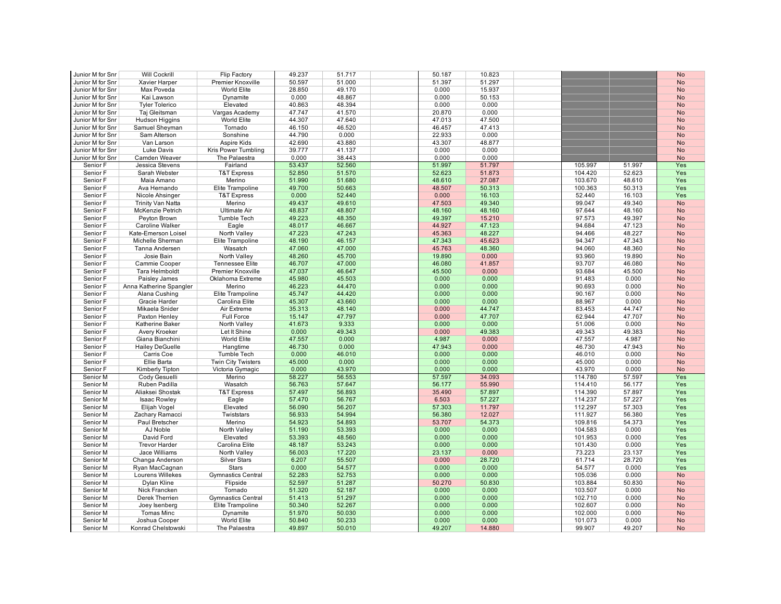| Junior M for Snr | <b>Will Cockrill</b>    | Flip Factory              | 49.237 | 51.717 | 50.187 | 10.823 |         |        | <b>No</b> |
|------------------|-------------------------|---------------------------|--------|--------|--------|--------|---------|--------|-----------|
| Junior M for Snr | Xavier Harper           | Premier Knoxville         | 50.597 | 51.000 | 51.397 | 51.297 |         |        | <b>No</b> |
| Junior M for Snr | Max Poveda              | World Elite               | 28.850 | 49.170 | 0.000  | 15.937 |         |        | <b>No</b> |
|                  |                         |                           |        |        |        |        |         |        |           |
| Junior M for Snr | Kai Lawson              | Dynamite                  | 0.000  | 48.867 | 0.000  | 50.153 |         |        | <b>No</b> |
| Junior M for Snr | <b>Tyler Tolerico</b>   | Elevated                  | 40.863 | 48.394 | 0.000  | 0.000  |         |        | <b>No</b> |
| Junior M for Snr | Taj Gleitsman           | Vargas Academy            | 47.747 | 41.570 | 20.870 | 0.000  |         |        | <b>No</b> |
|                  |                         |                           | 44.307 | 47.640 |        | 47.500 |         |        |           |
| Junior M for Snr | Hudson Higgins          | World Elite               |        |        | 47.013 |        |         |        | <b>No</b> |
| Junior M for Snr | Samuel Sheyman          | Tornado                   | 46.150 | 46.520 | 46.457 | 47.413 |         |        | <b>No</b> |
| Junior M for Snr | Sam Alterson            | Sonshine                  | 44.790 | 0.000  | 22.933 | 0.000  |         |        | No        |
| Junior M for Snr | Van Larson              | Aspire Kids               | 42.690 | 43.880 | 43.307 | 48.877 |         |        | <b>No</b> |
|                  |                         |                           | 39.777 |        | 0.000  | 0.000  |         |        |           |
| Junior M for Snr | Luke Davis              | Kris Power Tumbling       |        | 41.137 |        |        |         |        | <b>No</b> |
| Junior M for Snr | Camden Weaver           | The Palaestra             | 0.000  | 38.443 | 0.000  | 0.000  |         |        | <b>No</b> |
| Senior F         | Jessica Stevens         | Fairland                  | 53.437 | 52.560 | 51.997 | 51.797 | 105.997 | 51.997 | Yes       |
| Senior F         | Sarah Webster           | <b>T&amp;T Express</b>    | 52.850 | 51.570 | 52.623 | 51.873 | 104.420 | 52.623 | Yes       |
| Senior F         | Maia Amano              | Merino                    | 51.990 | 51.680 | 48.610 | 27.087 | 103.670 | 48.610 | Yes       |
|                  |                         |                           |        |        |        |        |         |        |           |
| Senior F         | Ava Hernando            | Elite Trampoline          | 49.700 | 50.663 | 48.507 | 50.313 | 100.363 | 50.313 | Yes       |
| Senior F         | Nicole Ahsinger         | <b>T&amp;T Express</b>    | 0.000  | 52.440 | 0.000  | 16.103 | 52.440  | 16.103 | Yes       |
| Senior F         | Trinity Van Natta       | Merino                    | 49.437 | 49.610 | 47.503 | 49.340 | 99.047  | 49.340 | <b>No</b> |
| Senior F         | McKenzie Petrich        | <b>Ultimate Air</b>       | 48.837 | 48.807 | 48.160 | 48.160 | 97.644  | 48.160 | <b>No</b> |
|                  |                         |                           |        |        |        |        |         |        |           |
| Senior F         | Peyton Brown            | Tumble Tech               | 49.223 | 48.350 | 49.397 | 15.210 | 97.573  | 49.397 | <b>No</b> |
| Senior F         | Caroline Walker         | Eagle                     | 48.017 | 46.667 | 44.927 | 47.123 | 94.684  | 47.123 | <b>No</b> |
| Senior F         | Kate-Emerson Loisel     | North Valley              | 47.223 | 47.243 | 45.363 | 48.227 | 94.466  | 48.227 | <b>No</b> |
| Senior F         | Michelle Sherman        | Elite Trampoline          | 48.190 | 46.157 | 47.343 | 45.623 | 94.347  | 47.343 | <b>No</b> |
|                  |                         |                           |        |        |        |        |         |        |           |
| Senior F         | Tanna Andersen          | Wasatch                   | 47.060 | 47.000 | 45.763 | 48.360 | 94.060  | 48.360 | <b>No</b> |
| Senior F         | Josie Bain              | North Valley              | 48.260 | 45.700 | 19.890 | 0.000  | 93.960  | 19.890 | <b>No</b> |
| Senior F         | Cammie Cooper           | <b>Tennessee Elite</b>    | 46.707 | 47.000 | 46.080 | 41.857 | 93.707  | 46.080 | <b>No</b> |
| Senior F         | <b>Tara Helmboldt</b>   | Premier Knoxville         | 47.037 | 46.647 | 45.500 | 0.000  | 93.684  | 45.500 | <b>No</b> |
|                  |                         |                           |        |        |        |        |         |        |           |
| Senior F         | Paisley James           | Oklahoma Extreme          | 45.980 | 45.503 | 0.000  | 0.000  | 91.483  | 0.000  | <b>No</b> |
| Senior F         | Anna Katherine Spangler | Merino                    | 46.223 | 44.470 | 0.000  | 0.000  | 90.693  | 0.000  | <b>No</b> |
| Senior F         | Alana Cushing           | Elite Trampoline          | 45.747 | 44.420 | 0.000  | 0.000  | 90.167  | 0.000  | <b>No</b> |
| Senior F         | Gracie Harder           | Carolina Elite            | 45.307 | 43.660 | 0.000  | 0.000  | 88.967  | 0.000  | <b>No</b> |
|                  |                         |                           |        |        |        |        |         |        |           |
| Senior F         | Mikaela Snider          | Air Extreme               | 35.313 | 48.140 | 0.000  | 44.747 | 83.453  | 44.747 | <b>No</b> |
| Senior F         | Paxton Henley           | Full Force                | 15.147 | 47.797 | 0.000  | 47.707 | 62.944  | 47.707 | <b>No</b> |
| Senior F         | Katherine Baker         | North Valley              | 41.673 | 9.333  | 0.000  | 0.000  | 51.006  | 0.000  | <b>No</b> |
| Senior F         | Avery Kroeker           | Let It Shine              | 0.000  | 49.343 | 0.000  | 49.383 | 49.343  | 49.383 | <b>No</b> |
| Senior F         | Giana Bianchini         | <b>World Elite</b>        | 47.557 | 0.000  | 4.987  | 0.000  | 47.557  | 4.987  | <b>No</b> |
|                  |                         |                           |        |        |        |        |         |        |           |
| Senior F         | <b>Hailey DeGuelle</b>  | Hangtime                  | 46.730 | 0.000  | 47.943 | 0.000  | 46.730  | 47.943 | <b>No</b> |
| Senior F         | Carris Coe              | Tumble Tech               | 0.000  | 46.010 | 0.000  | 0.000  | 46.010  | 0.000  | <b>No</b> |
| Senior F         | Ellie Barta             | Twin City Twisters        | 45.000 | 0.000  | 0.000  | 0.000  | 45.000  | 0.000  | <b>No</b> |
| Senior F         | Kimberly Tipton         | Victoria Gymagic          | 0.000  | 43.970 | 0.000  | 0.000  | 43.970  | 0.000  | No        |
|                  |                         |                           | 58.227 |        |        | 34.093 |         |        |           |
| Senior M         | Cody Gesuelli           | Merino                    |        | 56.553 | 57.597 |        | 114.780 | 57.597 | Yes       |
| Senior M         | Ruben Padilla           | Wasatch                   | 56.763 | 57.647 | 56.177 | 55.990 | 114.410 | 56.177 | Yes       |
| Senior M         | Aliaksei Shostak        | <b>T&amp;T Express</b>    | 57.497 | 56.893 | 35.490 | 57.897 | 114.390 | 57.897 | Yes       |
| Senior M         | <b>Isaac Rowley</b>     | Eagle                     | 57.470 | 56.767 | 6.503  | 57.227 | 114.237 | 57.227 | Yes       |
| Senior M         | Elijah Vogel            | Elevated                  | 56.090 | 56.207 | 57.303 | 11.797 | 112.297 | 57.303 | Yes       |
|                  |                         |                           |        |        |        |        |         |        |           |
| Senior M         | Zachary Ramacci         | Twiststars                | 56.933 | 54.994 | 56.380 | 12.027 | 111.927 | 56.380 | Yes       |
| Senior M         | Paul Bretscher          | Merino                    | 54.923 | 54.893 | 53.707 | 54.373 | 109.816 | 54.373 | Yes       |
| Senior M         | AJ Noble                | North Valley              | 51.190 | 53.393 | 0.000  | 0.000  | 104.583 | 0.000  | Yes       |
| Senior M         | David Ford              | Elevated                  | 53.393 | 48.560 | 0.000  | 0.000  | 101.953 | 0.000  | Yes       |
|                  |                         |                           |        |        |        |        |         |        |           |
| Senior M         | <b>Trevor Harder</b>    | Carolina Elite            | 48.187 | 53.243 | 0.000  | 0.000  | 101.430 | 0.000  | Yes       |
| Senior M         | Jace Williams           | North Valley              | 56.003 | 17.220 | 23.137 | 0.000  | 73.223  | 23.137 | Yes       |
| Senior M         | Changa Anderson         | <b>Silver Stars</b>       | 6.207  | 55.507 | 0.000  | 28.720 | 61.714  | 28.720 | Yes       |
| Senior M         | Ryan MacCagnan          | <b>Stars</b>              | 0.000  | 54.577 | 0.000  | 0.000  | 54.577  | 0.000  | Yes       |
|                  |                         |                           | 52.283 | 52.753 | 0.000  | 0.000  |         | 0.000  |           |
| Senior M         | Lourens Willekes        | <b>Gymnastics Central</b> |        |        |        |        | 105.036 |        | <b>No</b> |
| Senior M         | Dylan Kline             | Flipside                  | 52.597 | 51.287 | 50.270 | 50.830 | 103.884 | 50.830 | <b>No</b> |
| Senior M         | Nick Francken           | Tornado                   | 51.320 | 52.187 | 0.000  | 0.000  | 103.507 | 0.000  | <b>No</b> |
| Senior M         | Derek Therrien          | <b>Gymnastics Central</b> | 51.413 | 51.297 | 0.000  | 0.000  | 102.710 | 0.000  | <b>No</b> |
| Senior M         | Joey Isenberg           | Elite Trampoline          | 50.340 | 52.267 | 0.000  | 0.000  | 102.607 | 0.000  | <b>No</b> |
|                  |                         |                           |        |        |        |        |         |        |           |
| Senior M         | <b>Tomas Minc</b>       | Dynamite                  | 51.970 | 50.030 | 0.000  | 0.000  | 102.000 | 0.000  | <b>No</b> |
| Senior M         | Joshua Cooper           | World Elite               | 50.840 | 50.233 | 0.000  | 0.000  | 101.073 | 0.000  | <b>No</b> |
| Senior M         | Konrad Chelstowski      | The Palaestra             | 49.897 | 50.010 | 49.207 | 14.880 | 99.907  | 49.207 | <b>No</b> |
|                  |                         |                           |        |        |        |        |         |        |           |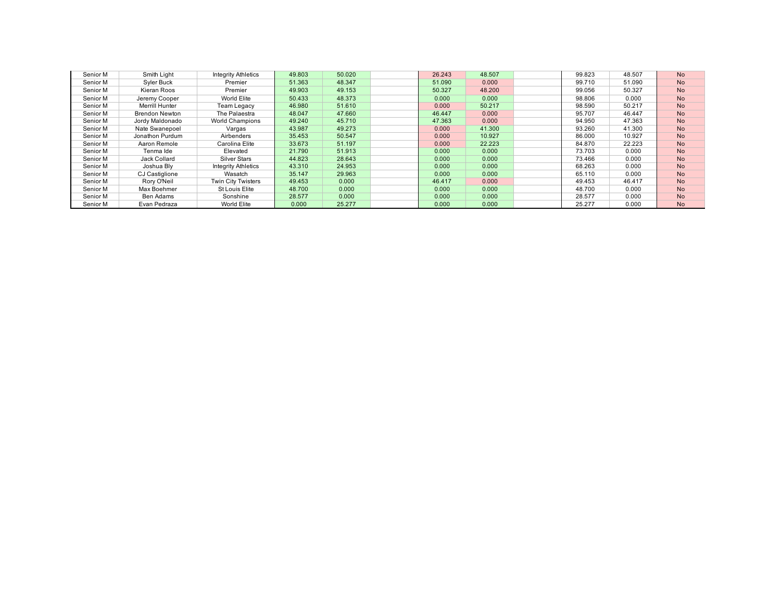| Senior M | Smith Light           | <b>Integrity Athletics</b> | 49.803 | 50.020 | 26.243 | 48.507 | 99.823 | 48.507 | <b>No</b> |
|----------|-----------------------|----------------------------|--------|--------|--------|--------|--------|--------|-----------|
| Senior M | Syler Buck            | Premier                    | 51.363 | 48.347 | 51.090 | 0.000  | 99.710 | 51.090 | <b>No</b> |
| Senior M | Kieran Roos           | Premier                    | 49.903 | 49.153 | 50.327 | 48,200 | 99.056 | 50.327 | <b>No</b> |
| Senior M | Jeremy Cooper         | World Elite                | 50.433 | 48.373 | 0.000  | 0.000  | 98.806 | 0.000  | <b>No</b> |
| Senior M | Merrill Hunter        | Team Legacy                | 46.980 | 51,610 | 0.000  | 50.217 | 98.590 | 50.217 | <b>No</b> |
| Senior M | <b>Brendon Newton</b> | The Palaestra              | 48.047 | 47.660 | 46.447 | 0.000  | 95.707 | 46.447 | <b>No</b> |
| Senior M | Jordy Maldonado       | <b>World Champions</b>     | 49.240 | 45.710 | 47.363 | 0.000  | 94.950 | 47.363 | <b>No</b> |
| Senior M | Nate Swanepoel        | Vargas                     | 43.987 | 49.273 | 0.000  | 41.300 | 93.260 | 41.300 | <b>No</b> |
| Senior M | Jonathon Purdum       | Airbenders                 | 35.453 | 50.547 | 0.000  | 10.927 | 86,000 | 10.927 | <b>No</b> |
| Senior M | Aaron Remole          | Carolina Elite             | 33.673 | 51.197 | 0.000  | 22.223 | 84.870 | 22.223 | <b>No</b> |
| Senior M | Tenma Ide             | Elevated                   | 21.790 | 51.913 | 0.000  | 0.000  | 73.703 | 0.000  | <b>No</b> |
| Senior M | Jack Collard          | Silver Stars               | 44.823 | 28.643 | 0.000  | 0.000  | 73.466 | 0.000  | <b>No</b> |
| Senior M | Joshua Blv            | <b>Integrity Athletics</b> | 43.310 | 24.953 | 0.000  | 0.000  | 68.263 | 0.000  | <b>No</b> |
| Senior M | CJ Castiglione        | Wasatch                    | 35.147 | 29.963 | 0.000  | 0.000  | 65.110 | 0.000  | <b>No</b> |
| Senior M | Rory O'Neil           | Twin City Twisters         | 49.453 | 0.000  | 46.417 | 0.000  | 49.453 | 46.417 | <b>No</b> |
| Senior M | Max Boehmer           | St Louis Elite             | 48.700 | 0.000  | 0.000  | 0.000  | 48.700 | 0.000  | <b>No</b> |
| Senior M | Ben Adams             | Sonshine                   | 28.577 | 0.000  | 0.000  | 0.000  | 28.577 | 0.000  | <b>No</b> |
| Senior M | Evan Pedraza          | World Elite                | 0.000  | 25.277 | 0.000  | 0.000  | 25.277 | 0.000  | <b>No</b> |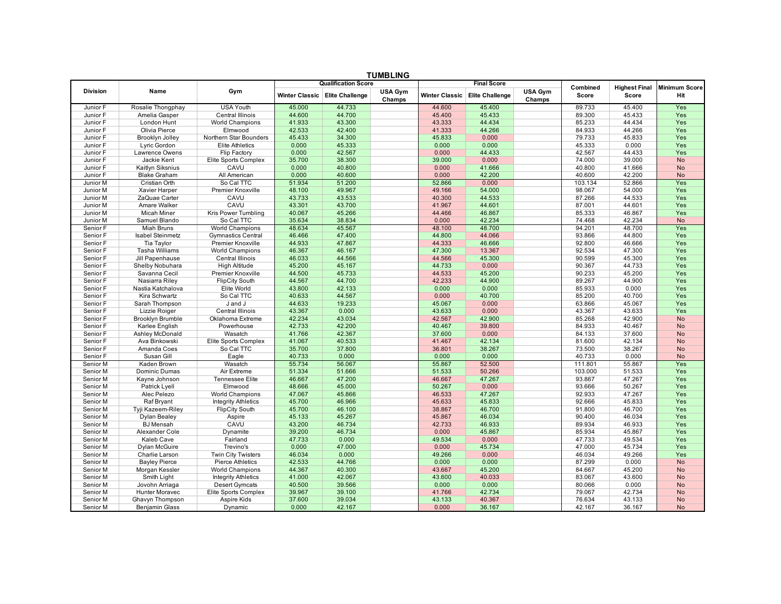| <b>TUMBLING</b>      |                                    |                                           |                  |                                  |                          |                  |                                  |                   |                  |                      |                   |  |  |
|----------------------|------------------------------------|-------------------------------------------|------------------|----------------------------------|--------------------------|------------------|----------------------------------|-------------------|------------------|----------------------|-------------------|--|--|
|                      |                                    |                                           |                  | <b>Qualification Score</b>       |                          |                  | <b>Final Score</b>               |                   | Combined         | <b>Highest Final</b> | Minimum Score     |  |  |
| <b>Division</b>      | Name                               | Gym                                       |                  | Winter Classic   Elite Challenge | <b>USA Gym</b><br>Champs |                  | Winter Classic   Elite Challenge | USA Gym<br>Champs | Score            | Score                | Hit               |  |  |
| Junior F             | Rosalie Thongphay                  | <b>USA Youth</b>                          | 45.000           | 44.733                           |                          | 44,600           | 45.400                           |                   | 89.733           | 45.400               | Yes               |  |  |
| Junior F             | Amelia Gasper                      | Central Illinois                          | 44.600           | 44.700                           |                          | 45.400           | 45.433                           |                   | 89.300           | 45.433               | Yes               |  |  |
| Junior F             | London Hunt                        | <b>World Champions</b>                    | 41.933           | 43.300                           |                          | 43.333           | 44.434                           |                   | 85.233           | 44.434               | Yes               |  |  |
| Junior F             | Olivia Pierce                      | Elmwood                                   | 42.533           | 42.400                           |                          | 41.333           | 44.266                           |                   | 84.933           | 44.266               | Yes               |  |  |
| Junior F             | Brooklyn Jolley                    | Northern Star Bounders                    | 45.433           | 34.300                           |                          | 45.833           | 0.000                            |                   | 79.733           | 45.833               | Yes               |  |  |
| Junior F             | Lyric Gordon                       | <b>Elite Athletics</b>                    | 0.000            | 45.333                           |                          | 0.000            | 0.000                            |                   | 45.333           | 0.000                | Yes               |  |  |
| Junior F             | Lawrence Owens                     | Flip Factory                              | 0.000            | 42.567                           |                          | 0.000            | 44.433                           |                   | 42.567           | 44.433               | Yes               |  |  |
| Junior F             | Jackie Kent                        | Elite Sports Complex                      | 35.700           | 38.300                           |                          | 39.000           | 0.000                            |                   | 74.000           | 39.000               | No                |  |  |
| Junior F             | Kaitlyn Siksnius                   | CAVU                                      | 0.000            | 40.800                           |                          | 0.000            | 41.666                           |                   | 40.800           | 41.666               | <b>No</b>         |  |  |
| Junior F             | <b>Blake Graham</b>                | All American                              | 0.000            | 40.600                           |                          | 0.000            | 42.200                           |                   | 40.600           | 42.200               | <b>No</b>         |  |  |
| Junior M             | Cristian Orth                      | So Cal TTC                                | 51.934           | 51.200                           |                          | 52.866           | 0.000                            |                   | 103.134          | 52.866               | Yes               |  |  |
| Junior M             | Xavier Harper                      | Premier Knoxville                         | 48.100           | 49.967                           |                          | 49.166           | 54.000                           |                   | 98.067           | 54.000               | Yes               |  |  |
| Junior M             | ZaQuae Carter                      | CAVU                                      | 43.733           | 43.533                           |                          | 40.300           | 44.533                           |                   | 87.266           | 44.533               | Yes               |  |  |
| Junior M             | Amare Walker                       | CAVU                                      | 43.301           | 43.700                           |                          | 41.967           | 44.601                           |                   | 87.001           | 44.601               | Yes               |  |  |
| Junior M             | Micah Miner                        | Kris Power Tumbling                       | 40.067           | 45.266                           |                          | 44.466           | 46.867                           |                   | 85.333           | 46.867               | Yes               |  |  |
| Junior M             | Samuel Blando                      | So Cal TTC                                | 35.634           | 38.834                           |                          | 0.000            | 42.234                           |                   | 74.468           | 42.234               | <b>No</b>         |  |  |
| Senior F             | Miah Bruns                         | World Champions                           | 48.634           | 45.567                           |                          | 48.100           | 48.700                           |                   | 94.201           | 48.700               | Yes               |  |  |
| Senior F             | <b>Isabel Steinmetz</b>            | <b>Gymnastics Central</b>                 | 46.466           | 47.400                           |                          | 44.800           | 44.066                           |                   | 93.866           | 44.800               | Yes               |  |  |
| Senior F             | Tia Taylor                         | Premier Knoxville                         | 44.933           | 47.867                           |                          | 44.333           | 46.666                           |                   | 92.800           | 46.666               | Yes               |  |  |
| Senior F             | <b>Tasha Williams</b>              | <b>World Champions</b>                    | 46.367           | 46.167                           |                          | 47.300           | 13.367                           |                   | 92.534           | 47.300               | Yes               |  |  |
| Senior F<br>Senior F | Jill Papenhause<br>Shelby Nobuhara | Central Illinois                          | 46.033<br>45.200 | 44.566<br>45.167                 |                          | 44.566<br>44.733 | 45.300<br>0.000                  |                   | 90.599           | 45.300<br>44.733     | Yes               |  |  |
| Senior F             | Savanna Cecil                      | <b>High Altitude</b><br>Premier Knoxville | 44.500           | 45.733                           |                          | 44.533           | 45.200                           |                   | 90.367<br>90.233 | 45.200               | Yes<br><b>Yes</b> |  |  |
| Senior F             | Nasiarra Riley                     | <b>FlipCity South</b>                     | 44.567           | 44.700                           |                          | 42.233           | 44.900                           |                   | 89.267           | 44.900               | Yes               |  |  |
| Senior F             | Nastia Katchalova                  | Elite World                               | 43.800           | 42.133                           |                          | 0.000            | 0.000                            |                   | 85.933           | 0.000                | Yes               |  |  |
| Senior F             | Kira Schwartz                      | So Cal TTC                                | 40.633           | 44.567                           |                          | 0.000            | 40.700                           |                   | 85.200           | 40.700               | Yes               |  |  |
| Senior F             | Sarah Thompson                     | J and J                                   | 44.633           | 19.233                           |                          | 45.067           | 0.000                            |                   | 63.866           | 45.067               | Yes               |  |  |
| Senior F             | Lizzie Roiger                      | Central Illinois                          | 43.367           | 0.000                            |                          | 43.633           | 0.000                            |                   | 43.367           | 43.633               | Yes               |  |  |
| Senior F             | Brooklyn Brumble                   | Oklahoma Extreme                          | 42.234           | 43.034                           |                          | 42.567           | 42.900                           |                   | 85.268           | 42.900               | <b>No</b>         |  |  |
| Senior F             | Karlee English                     | Powerhouse                                | 42.733           | 42.200                           |                          | 40.467           | 39.800                           |                   | 84.933           | 40.467               | <b>No</b>         |  |  |
| Senior F             | Ashley McDonald                    | Wasatch                                   | 41.766           | 42.367                           |                          | 37.600           | 0.000                            |                   | 84.133           | 37.600               | <b>No</b>         |  |  |
| Senior F             | Ava Binkowski                      | Elite Sports Complex                      | 41.067           | 40.533                           |                          | 41.467           | 42.134                           |                   | 81.600           | 42.134               | <b>No</b>         |  |  |
| Senior F             | Amanda Coes                        | So Cal TTC                                | 35.700           | 37.800                           |                          | 36.801           | 38.267                           |                   | 73.500           | 38.267               | <b>No</b>         |  |  |
| Senior F             | Susan Gill                         | Eagle                                     | 40.733           | 0.000                            |                          | 0.000            | 0.000                            |                   | 40.733           | 0.000                | <b>No</b>         |  |  |
| Senior M             | Kaden Brown                        | Wasatch                                   | 55.734           | 56.067                           |                          | 55.867           | 52.500                           |                   | 111.801          | 55.867               | Yes               |  |  |
| Senior M             | Dominic Dumas                      | Air Extreme                               | 51.334           | 51.666                           |                          | 51.533           | 50.266                           |                   | 103.000          | 51.533               | Yes               |  |  |
| Senior M             | Kayne Johnson                      | <b>Tennessee Elite</b>                    | 46.667           | 47.200                           |                          | 46.667           | 47.267                           |                   | 93.867           | 47.267               | Yes               |  |  |
| Senior M             | Patrick Lyell                      | Elmwood                                   | 48.666           | 45.000                           |                          | 50.267           | 0.000                            |                   | 93.666           | 50.267               | Yes               |  |  |
| Senior M             | Alec Pelezo                        | World Champions                           | 47.067           | 45.866                           |                          | 46.533           | 47.267                           |                   | 92.933           | 47.267               | Yes               |  |  |
| Senior M             | Raf Bryant                         | <b>Integrity Athletics</b>                | 45.700           | 46.966                           |                          | 45.633           | 45.833                           |                   | 92.666           | 45.833               | Yes               |  |  |
| Senior M             | Tyji Kazeem-Riley                  | <b>FlipCity South</b>                     | 45.700           | 46.100                           |                          | 38.867           | 46.700                           |                   | 91.800           | 46.700               | Yes               |  |  |
| Senior M             | Dylan Bealey                       | Aspire                                    | 45.133           | 45.267                           |                          | 45.867           | 46.034                           |                   | 90.400           | 46.034               | Yes               |  |  |
| Senior M             | <b>BJ</b> Mensah                   | CAVU                                      | 43.200           | 46.734                           |                          | 42.733           | 46.933                           |                   | 89.934           | 46.933               | Yes               |  |  |
| Senior M             | Alexander Cole                     | Dynamite                                  | 39.200           | 46.734                           |                          | 0.000            | 45.867                           |                   | 85.934           | 45.867               | Yes               |  |  |
| Senior M             | Kaleb Cave                         | Fairland                                  | 47.733           | 0.000                            |                          | 49.534           | 0.000                            |                   | 47.733           | 49.534               | Yes               |  |  |
| Senior M             | Dylan McGuire                      | Trevino's                                 | 0.000            | 47.000                           |                          | 0.000            | 45.734                           |                   | 47.000           | 45.734               | Yes               |  |  |
| Senior M             | Charlie Larson                     | <b>Twin City Twisters</b>                 | 46.034           | 0.000                            |                          | 49.266           | 0.000                            |                   | 46.034           | 49.266               | Yes               |  |  |
| Senior M             | <b>Bayley Pierce</b>               | <b>Pierce Athletics</b>                   | 42.533           | 44.766                           |                          | 0.000            | 0.000                            |                   | 87.299           | 0.000                | <b>No</b>         |  |  |
| Senior M             | Morgan Kessler                     | <b>World Champions</b>                    | 44.367           | 40.300                           |                          | 43.667           | 45.200                           |                   | 84.667           | 45.200               | <b>No</b>         |  |  |
| Senior M             | Smith Light                        | <b>Integrity Athletics</b>                | 41.000           | 42.067                           |                          | 43.600           | 40.033                           |                   | 83.067           | 43.600               | <b>No</b>         |  |  |
| Senior M             | Jovohn Arriaga                     | <b>Desert Gymcats</b>                     | 40.500           | 39.566                           |                          | 0.000            | 0.000                            |                   | 80.066           | 0.000                | <b>No</b>         |  |  |
| Senior M             | <b>Hunter Moravec</b>              | Elite Sports Complex                      | 39.967           | 39.100                           |                          | 41.766           | 42.734                           |                   | 79.067           | 42.734               | <b>No</b>         |  |  |
| Senior M             | Ghavyn Thompson                    | Aspire Kids                               | 37.600           | 39.034                           |                          | 43.133           | 40.367                           |                   | 76.634           | 43.133               | <b>No</b>         |  |  |
| Senior M             | <b>Benjamin Glass</b>              | Dynamic                                   | 0.000            | 42.167                           |                          | 0.000            | 36.167                           |                   | 42.167           | 36.167               | <b>No</b>         |  |  |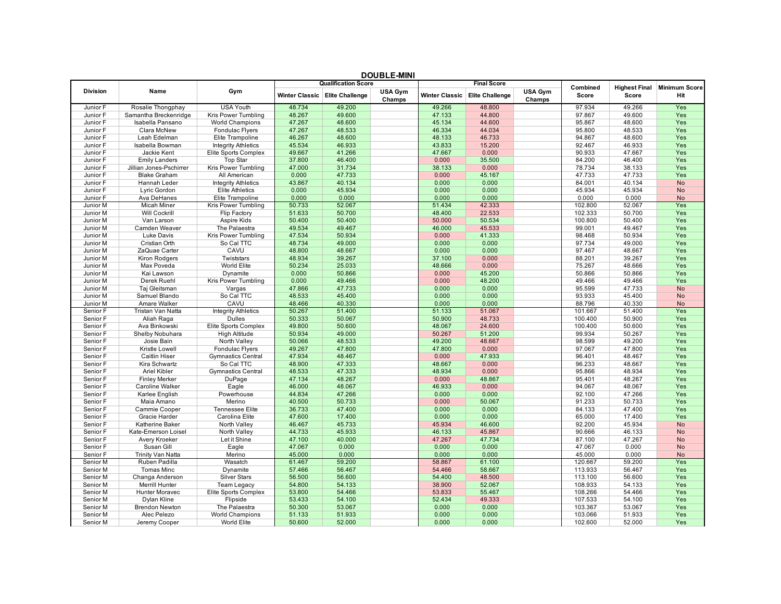| <b>DOUBLE-MINI</b> |                         |                            |        |                                  |                   |                       |                        |                          |          |                      |                      |  |  |
|--------------------|-------------------------|----------------------------|--------|----------------------------------|-------------------|-----------------------|------------------------|--------------------------|----------|----------------------|----------------------|--|--|
|                    |                         |                            |        | <b>Qualification Score</b>       |                   |                       | <b>Final Score</b>     |                          | Combined | <b>Highest Final</b> | <b>Minimum Score</b> |  |  |
| <b>Division</b>    | Name                    | Gym                        |        | Winter Classic   Elite Challenge | USA Gym<br>Champs | <b>Winter Classic</b> | <b>Elite Challenge</b> | <b>USA Gym</b><br>Champs | Score    | Score                | Hit                  |  |  |
| Junior F           | Rosalie Thongphay       | <b>USA Youth</b>           | 48.734 | 49.200                           |                   | 49.266                | 48.800                 |                          | 97.934   | 49.266               | Yes                  |  |  |
| Junior F           | Samantha Breckenridge   | Kris Power Tumbling        | 48.267 | 49.600                           |                   | 47.133                | 44.800                 |                          | 97.867   | 49.600               | Yes                  |  |  |
| Junior F           | Isabella Pansano        | <b>World Champions</b>     | 47.267 | 48.600                           |                   | 45.134                | 44.600                 |                          | 95.867   | 48.600               | Yes                  |  |  |
| Junior F           | Clara McNew             | Fondulac Flyers            | 47.267 | 48.533                           |                   | 46.334                | 44.034                 |                          | 95.800   | 48.533               | Yes                  |  |  |
| Junior F           | Leah Edelman            | Elite Trampoline           | 46.267 | 48.600                           |                   | 48.133                | 46.733                 |                          | 94.867   | 48.600               | Yes                  |  |  |
| Junior F           | Isabella Bowman         | <b>Integrity Athletics</b> | 45.534 | 46.933                           |                   | 43.833                | 15.200                 |                          | 92.467   | 46.933               | Yes                  |  |  |
| Junior F           | Jackie Kent             | Elite Sports Complex       | 49.667 | 41.266                           |                   | 47.667                | 0.000                  |                          | 90.933   | 47.667               | Yes                  |  |  |
| Junior F           | <b>Emily Landers</b>    | <b>Top Star</b>            | 37.800 | 46.400                           |                   | 0.000                 | 35.500                 |                          | 84.200   | 46.400               | Yes                  |  |  |
| Junior F           | Jillian Jones-Pschirrer | Kris Power Tumbling        | 47.000 | 31.734                           |                   | 38.133                | 0.000                  |                          | 78.734   | 38.133               | Yes                  |  |  |
| Junior F           | <b>Blake Graham</b>     | All American               | 0.000  | 47.733                           |                   | 0.000                 | 45.167                 |                          | 47.733   | 47.733               | Yes                  |  |  |
| Junior F           | Hannah Leder            | <b>Integrity Athletics</b> | 43.867 | 40.134                           |                   | 0.000                 | 0.000                  |                          | 84.001   | 40.134               | No                   |  |  |
| Junior F           | Lyric Gordon            | <b>Elite Athletics</b>     | 0.000  | 45.934                           |                   | 0.000                 | 0.000                  |                          | 45.934   | 45.934               | <b>No</b>            |  |  |
| Junior F           | Ava DeHanes             | Elite Trampoline           | 0.000  | 0.000                            |                   | 0.000                 | 0.000                  |                          | 0.000    | 0.000                | <b>No</b>            |  |  |
| Junior M           | <b>Micah Miner</b>      | Kris Power Tumbling        | 50.733 | 52.067                           |                   | 51.434                | 42.333                 |                          | 102.800  | 52.067               | Yes                  |  |  |
| Junior M           | <b>Will Cockrill</b>    | Flip Factory               | 51.633 | 50.700                           |                   | 48.400                | 22.533                 |                          | 102.333  | 50.700               | Yes                  |  |  |
| Junior M           | Van Larson              | Aspire Kids                | 50.400 | 50.400                           |                   | 50.000                | 50.534                 |                          | 100.800  | 50.400               | Yes                  |  |  |
| Junior M           | Camden Weaver           | The Palaestra              | 49.534 | 49.467                           |                   | 46.000                | 45.533                 |                          | 99.001   | 49.467               | Yes                  |  |  |
| Junior M           | Luke Davis              | Kris Power Tumbling        | 47.534 | 50.934                           |                   | 0.000                 | 41.333                 |                          | 98.468   | 50.934               | Yes                  |  |  |
| Junior M           | Cristian Orth           | So Cal TTC                 | 48.734 | 49.000                           |                   | 0.000                 | 0.000                  |                          | 97.734   | 49.000               | Yes                  |  |  |
| Junior M           | ZaQuae Carter           | CAVU                       | 48.800 | 48.667                           |                   | 0.000                 | 0.000                  |                          | 97.467   | 48.667               | Yes                  |  |  |
| Junior M           | Kiron Rodgers           | Twiststars                 | 48.934 | 39.267                           |                   | 37.100                | 0.000                  |                          | 88.201   | 39.267               | Yes                  |  |  |
| Junior M           | Max Poveda              | World Elite                | 50.234 | 25.033                           |                   | 48.666                | 0.000                  |                          | 75.267   | 48.666               | Yes                  |  |  |
| Junior M           | Kai Lawson              | Dynamite                   | 0.000  | 50.866                           |                   | 0.000                 | 45.200                 |                          | 50.866   | 50.866               | Yes                  |  |  |
| Junior M           | Derek Ruehl             | Kris Power Tumbling        | 0.000  | 49.466                           |                   | 0.000                 | 48.200                 |                          | 49.466   | 49.466               | Yes                  |  |  |
| Junior M           | Taj Gleitsman           | Vargas                     | 47.866 | 47.733                           |                   | 0.000                 | 0.000                  |                          | 95.599   | 47.733               | <b>No</b>            |  |  |
| Junior M           | Samuel Blando           | So Cal TTC                 | 48.533 | 45.400                           |                   | 0.000                 | 0.000                  |                          | 93.933   | 45.400               | <b>No</b>            |  |  |
| Junior M           | Amare Walker            | CAVU                       | 48.466 | 40.330                           |                   | 0.000                 | 0.000                  |                          | 88.796   | 40.330               | <b>No</b>            |  |  |
| Senior F           | Tristan Van Natta       | <b>Integrity Athletics</b> | 50.267 | 51.400                           |                   | 51.133                | 51.067                 |                          | 101.667  | 51.400               | Yes                  |  |  |
| Senior F           | Aliah Raga              | <b>Dulles</b>              | 50.333 | 50.067                           |                   | 50.900                | 48.733                 |                          | 100.400  | 50.900               | Yes                  |  |  |
| Senior F           | Ava Binkowski           | Elite Sports Complex       | 49.800 | 50,600                           |                   | 48.067                | 24.600                 |                          | 100.400  | 50.600               | Yes                  |  |  |
| Senior F           | Shelby Nobuhara         | <b>High Altitude</b>       | 50.934 | 49.000                           |                   | 50.267                | 51.200                 |                          | 99.934   | 50.267               | Yes                  |  |  |
| Senior F           | Josie Bain              | North Valley               | 50.066 | 48.533                           |                   | 49.200                | 48.667                 |                          | 98.599   | 49.200               | Yes                  |  |  |
| Senior F           | Kristle Lowell          | Fondulac Flyers            | 49.267 | 47.800                           |                   | 47.800                | 0.000                  |                          | 97.067   | 47.800               | Yes                  |  |  |
| Senior F           | <b>Caitlin Hiser</b>    | <b>Gymnastics Central</b>  | 47.934 | 48.467                           |                   | 0.000                 | 47.933                 |                          | 96.401   | 48.467               | Yes                  |  |  |
| Senior F           | Kira Schwartz           | So Cal TTC                 | 48.900 | 47.333                           |                   | 48.667                | 0.000                  |                          | 96.233   | 48.667               | Yes                  |  |  |
| Senior F           | Ariel Kibler            | <b>Gymnastics Central</b>  | 48.533 | 47.333                           |                   | 48.934                | 0.000                  |                          | 95.866   | 48.934               | Yes                  |  |  |
| Senior F           | <b>Finley Merker</b>    | DuPage                     | 47.134 | 48.267                           |                   | 0.000                 | 48.867                 |                          | 95.401   | 48.267               | Yes                  |  |  |
| Senior F           | <b>Caroline Walker</b>  | Eagle                      | 46.000 | 48.067                           |                   | 46.933                | 0.000                  |                          | 94.067   | 48.067               | Yes                  |  |  |
| Senior F           | Karlee English          | Powerhouse                 | 44.834 | 47.266                           |                   | 0.000                 | 0.000                  |                          | 92.100   | 47.266               | Yes                  |  |  |
| Senior F           | Maia Amano              | Merino                     | 40.500 | 50.733                           |                   | 0.000                 | 50.067                 |                          | 91.233   | 50.733               | Yes                  |  |  |
| Senior F           | Cammie Cooper           | <b>Tennessee Elite</b>     | 36.733 | 47.400                           |                   | 0.000                 | 0.000                  |                          | 84.133   | 47.400               | Yes                  |  |  |
| Senior F           | Gracie Harder           | Carolina Elite             | 47.600 | 17.400                           |                   | 0.000                 | 0.000                  |                          | 65.000   | 17,400               | Yes                  |  |  |
| Senior F           | Katherine Baker         | North Valley               | 46.467 | 45.733                           |                   | 45.934                | 46.600                 |                          | 92.200   | 45.934               | <b>No</b>            |  |  |
| Senior F           | Kate-Emerson Loisel     | North Valley               | 44.733 | 45.933                           |                   | 46.133                | 45.867                 |                          | 90.666   | 46.133               | <b>No</b>            |  |  |
| Senior F           | Avery Kroeker           | Let it Shine               | 47.100 | 40.000                           |                   | 47.267                | 47.734                 |                          | 87.100   | 47.267               | <b>No</b>            |  |  |
| Senior F           | Susan Gill              | Eagle                      | 47.067 | 0.000                            |                   | 0.000                 | 0.000                  |                          | 47.067   | 0.000                | <b>No</b>            |  |  |
| Senior F           | Trinity Van Natta       | Merino                     | 45.000 | 0.000                            |                   | 0.000                 | 0.000                  |                          | 45.000   | 0.000                | <b>No</b>            |  |  |
| Senior M           | Ruben Padilla           | Wasatch                    | 61.467 | 59.200                           |                   | 58.867                | 61.100                 |                          | 120.667  | 59.200               | Yes                  |  |  |
| Senior M           | Tomas Minc              | Dynamite                   | 57.466 | 56.467                           |                   | 54.466                | 58.667                 |                          | 113.933  | 56.467               | Yes                  |  |  |
| Senior M           | Changa Anderson         | Silver Stars               | 56.500 | 56.600                           |                   | 54.400                | 48.500                 |                          | 113.100  | 56.600               | Yes                  |  |  |
| Senior M           | Merrill Hunter          | <b>Team Legacy</b>         | 54.800 | 54.133                           |                   | 38.900                | 52.067                 |                          | 108.933  | 54.133               | Yes                  |  |  |
| Senior M           | Hunter Moravec          | Elite Sports Complex       | 53.800 | 54.466                           |                   | 53.833                | 55.467                 |                          | 108.266  | 54.466               | Yes                  |  |  |
| Senior M           | Dylan Kline             | Flipside                   | 53.433 | 54.100                           |                   | 52.434                | 49.333                 |                          | 107.533  | 54.100               | Yes                  |  |  |
| Senior M           | <b>Brendon Newton</b>   | The Palaestra              | 50.300 | 53.067                           |                   | 0.000                 | 0.000                  |                          | 103.367  | 53.067               | Yes                  |  |  |
| Senior M           | Alec Pelezo             | World Champions            | 51.133 | 51.933                           |                   | 0.000                 | 0.000                  |                          | 103.066  | 51.933               | Yes                  |  |  |
| Senior M           | Jeremy Cooper           | World Elite                | 50.600 | 52.000                           |                   | 0.000                 | 0.000                  |                          | 102.600  | 52.000               | Yes                  |  |  |